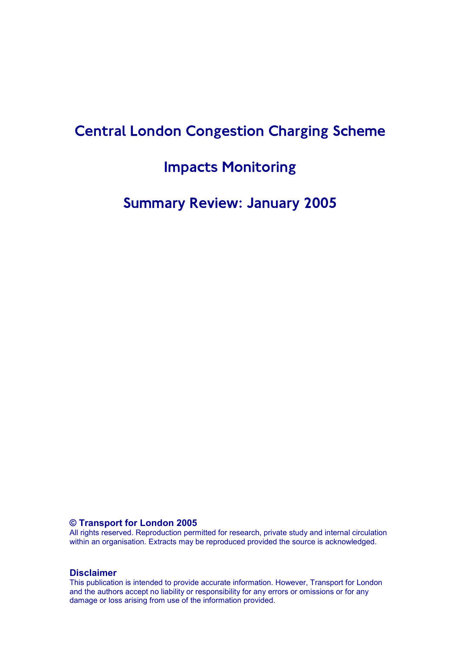# **Central London Congestion Charging Scheme**

# **Impacts Monitoring**

# **Summary Review: January 2005**

### **© Transport for London 2005**

All rights reserved. Reproduction permitted for research, private study and internal circulation within an organisation. Extracts may be reproduced provided the source is acknowledged.

#### **Disclaimer**

This publication is intended to provide accurate information. However, Transport for London and the authors accept no liability or responsibility for any errors or omissions or for any damage or loss arising from use of the information provided.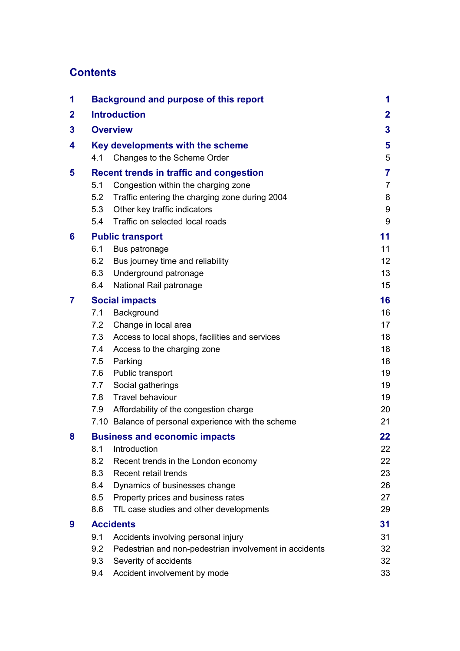# **Contents**

| 1           | <b>Background and purpose of this report</b>                                                                                                             | 1              |
|-------------|----------------------------------------------------------------------------------------------------------------------------------------------------------|----------------|
| $\mathbf 2$ | <b>Introduction</b>                                                                                                                                      | $\mathbf{2}$   |
| 3           | <b>Overview</b>                                                                                                                                          | 3              |
| 4           | Key developments with the scheme                                                                                                                         | 5              |
|             | Changes to the Scheme Order<br>4.1                                                                                                                       | 5              |
| 5           | <b>Recent trends in traffic and congestion</b>                                                                                                           | 7              |
|             | Congestion within the charging zone<br>5.1                                                                                                               | $\overline{7}$ |
|             | 5.2<br>Traffic entering the charging zone during 2004                                                                                                    | 8              |
|             | Other key traffic indicators<br>5.3                                                                                                                      | 9              |
|             | Traffic on selected local roads<br>5.4                                                                                                                   | 9              |
| 6           | <b>Public transport</b>                                                                                                                                  | 11             |
|             | Bus patronage<br>6.1                                                                                                                                     | 11             |
|             | 6.2<br>Bus journey time and reliability                                                                                                                  | 12             |
|             | Underground patronage<br>6.3                                                                                                                             | 13             |
|             | National Rail patronage<br>6.4                                                                                                                           | 15             |
| 7           | <b>Social impacts</b>                                                                                                                                    | 16             |
|             | 7.1<br>Background                                                                                                                                        | 16             |
|             | 7.2<br>Change in local area                                                                                                                              | 17             |
|             | Access to local shops, facilities and services<br>7.3                                                                                                    | 18             |
|             | 7.4<br>Access to the charging zone                                                                                                                       | 18             |
|             | 7.5<br>Parking                                                                                                                                           | 18             |
|             | 7.6<br>Public transport                                                                                                                                  | 19             |
|             | Social gatherings<br>7.7                                                                                                                                 | 19             |
|             | <b>Travel behaviour</b><br>7.8                                                                                                                           | 19             |
|             | Affordability of the congestion charge<br>7.9<br>7.10 Balance of personal experience with the scheme                                                     | 20<br>21       |
|             |                                                                                                                                                          |                |
| 8           | <b>Business and economic impacts</b>                                                                                                                     | 22             |
|             | 8.1<br>Introduction<br>8.2                                                                                                                               | 22<br>22       |
|             | Recent trends in the London economy<br>8.3<br>Recent retail trends                                                                                       | 23             |
|             | 8.4<br>Dynamics of businesses change                                                                                                                     | 26             |
|             | 8.5<br>Property prices and business rates                                                                                                                | 27             |
|             | 8.6<br>TfL case studies and other developments                                                                                                           | 29             |
|             |                                                                                                                                                          |                |
|             |                                                                                                                                                          |                |
|             |                                                                                                                                                          |                |
|             | 9.3                                                                                                                                                      | 32             |
|             | Accident involvement by mode<br>9.4                                                                                                                      | 33             |
| 9           | <b>Accidents</b><br>9.1<br>Accidents involving personal injury<br>9.2<br>Pedestrian and non-pedestrian involvement in accidents<br>Severity of accidents | 31<br>31<br>32 |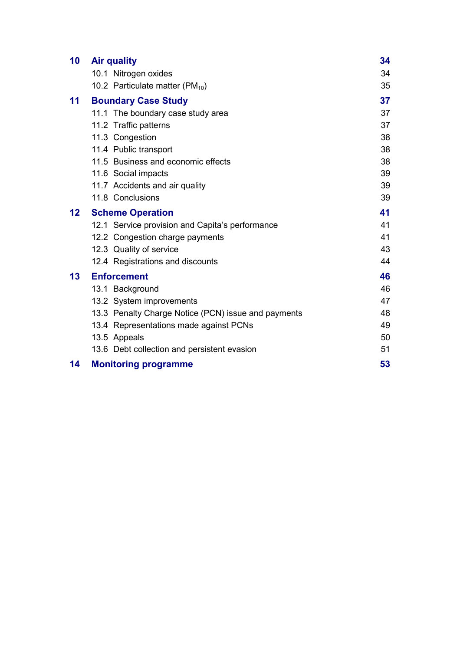| 10                | <b>Air quality</b>                                  | 34 |
|-------------------|-----------------------------------------------------|----|
|                   | 10.1 Nitrogen oxides                                | 34 |
|                   | 10.2 Particulate matter (PM $_{10}$ )               | 35 |
| 11                | <b>Boundary Case Study</b>                          | 37 |
|                   | 11.1 The boundary case study area                   | 37 |
|                   | 11.2 Traffic patterns                               | 37 |
|                   | 11.3 Congestion                                     | 38 |
|                   | 11.4 Public transport                               | 38 |
|                   | 11.5 Business and economic effects                  | 38 |
|                   | 11.6 Social impacts                                 | 39 |
|                   | 11.7 Accidents and air quality                      | 39 |
|                   | 11.8 Conclusions                                    | 39 |
| $12 \overline{ }$ | <b>Scheme Operation</b>                             | 41 |
|                   | 12.1 Service provision and Capita's performance     | 41 |
|                   | 12.2 Congestion charge payments                     | 41 |
|                   | 12.3 Quality of service                             | 43 |
|                   | 12.4 Registrations and discounts                    | 44 |
| 13                | <b>Enforcement</b>                                  | 46 |
|                   | 13.1 Background                                     | 46 |
|                   | 13.2 System improvements                            | 47 |
|                   | 13.3 Penalty Charge Notice (PCN) issue and payments | 48 |
|                   | 13.4 Representations made against PCNs              | 49 |
|                   | 13.5 Appeals                                        | 50 |
|                   | 13.6 Debt collection and persistent evasion         | 51 |
| 14                | <b>Monitoring programme</b>                         | 53 |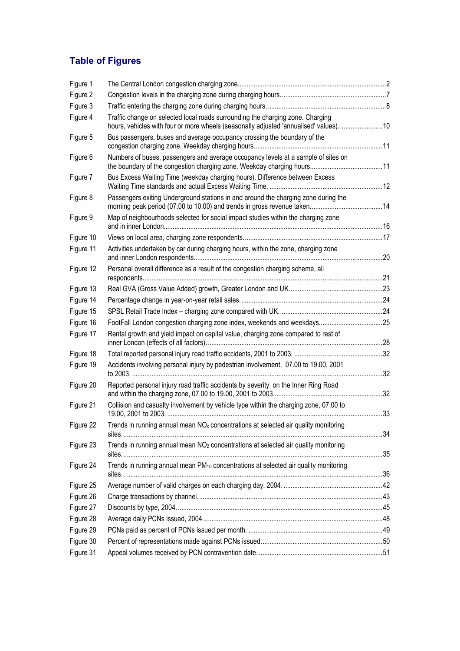# **Table of Figures**

| Figure 1  |                                                                                                                                                                        |  |
|-----------|------------------------------------------------------------------------------------------------------------------------------------------------------------------------|--|
| Figure 2  |                                                                                                                                                                        |  |
| Figure 3  |                                                                                                                                                                        |  |
| Figure 4  | Traffic change on selected local roads surrounding the charging zone. Charging<br>hours, vehicles with four or more wheels (seasonally adjusted 'annualised' values)10 |  |
| Figure 5  | Bus passengers, buses and average occupancy crossing the boundary of the                                                                                               |  |
| Figure 6  | Numbers of buses, passengers and average occupancy levels at a sample of sites on                                                                                      |  |
| Figure 7  | Bus Excess Waiting Time (weekday charging hours). Difference between Excess                                                                                            |  |
| Figure 8  | Passengers exiting Underground stations in and around the charging zone during the                                                                                     |  |
| Figure 9  | Map of neighbourhoods selected for social impact studies within the charging zone                                                                                      |  |
| Figure 10 |                                                                                                                                                                        |  |
| Figure 11 | Activities undertaken by car during charging hours, within the zone, charging zone                                                                                     |  |
| Figure 12 | Personal overall difference as a result of the congestion charging scheme, all                                                                                         |  |
| Figure 13 |                                                                                                                                                                        |  |
| Figure 14 |                                                                                                                                                                        |  |
| Figure 15 |                                                                                                                                                                        |  |
| Figure 16 |                                                                                                                                                                        |  |
| Figure 17 | Rental growth and yield impact on capital value, charging zone compared to rest of                                                                                     |  |
| Figure 18 |                                                                                                                                                                        |  |
| Figure 19 | Accidents involving personal injury by pedestrian involvement, 07.00 to 19.00, 2001                                                                                    |  |
| Figure 20 | Reported personal injury road traffic accidents by severity, on the Inner Ring Road                                                                                    |  |
| Figure 21 | Collision and casualty involvement by vehicle type within the charging zone, 07.00 to                                                                                  |  |
| Figure 22 | Trends in running annual mean NO <sub>x</sub> concentrations at selected air quality monitoring                                                                        |  |
| Figure 23 | Trends in running annual mean NO <sub>2</sub> concentrations at selected air quality monitoring                                                                        |  |
| Figure 24 | Trends in running annual mean PM <sub>10</sub> concentrations at selected air quality monitoring                                                                       |  |
| Figure 25 |                                                                                                                                                                        |  |
| Figure 26 |                                                                                                                                                                        |  |
| Figure 27 |                                                                                                                                                                        |  |
| Figure 28 |                                                                                                                                                                        |  |
| Figure 29 |                                                                                                                                                                        |  |
| Figure 30 |                                                                                                                                                                        |  |
| Figure 31 |                                                                                                                                                                        |  |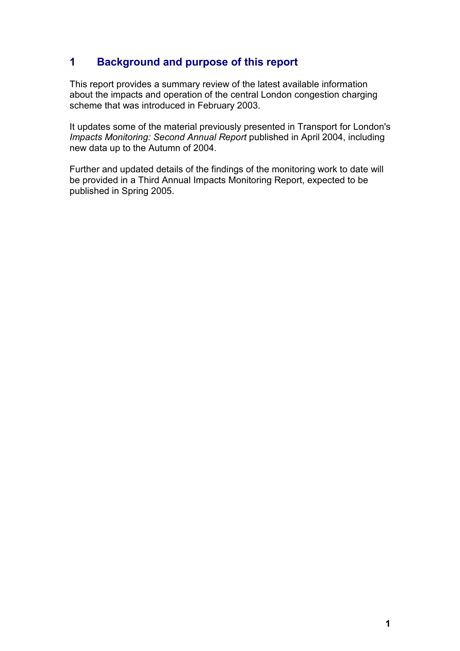# **1 Background and purpose of this report**

This report provides a summary review of the latest available information about the impacts and operation of the central London congestion charging scheme that was introduced in February 2003.

It updates some of the material previously presented in Transport for London's *Impacts Monitoring: Second Annual Report* published in April 2004, including new data up to the Autumn of 2004.

Further and updated details of the findings of the monitoring work to date will be provided in a Third Annual Impacts Monitoring Report, expected to be published in Spring 2005.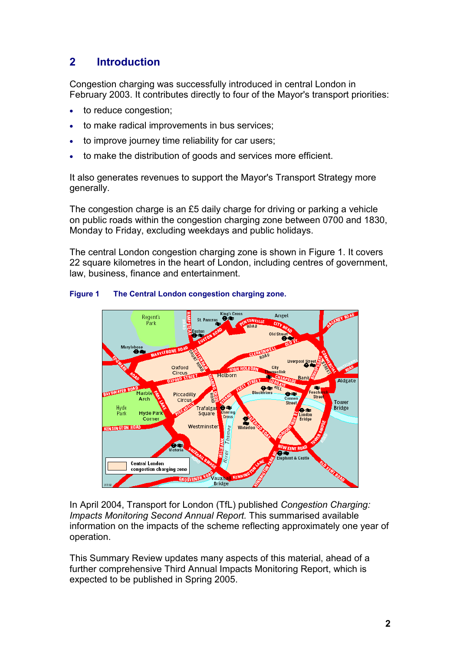# **2 Introduction**

Congestion charging was successfully introduced in central London in February 2003. It contributes directly to four of the Mayor's transport priorities:

- to reduce congestion;
- to make radical improvements in bus services;
- to improve journey time reliability for car users;
- to make the distribution of goods and services more efficient.

It also generates revenues to support the Mayor's Transport Strategy more generally.

The congestion charge is an £5 daily charge for driving or parking a vehicle on public roads within the congestion charging zone between 0700 and 1830, Monday to Friday, excluding weekdays and public holidays.

The central London congestion charging zone is shown in Figure 1. It covers 22 square kilometres in the heart of London, including centres of government, law, business, finance and entertainment.



#### **Figure 1 The Central London congestion charging zone.**

In April 2004, Transport for London (TfL) published *Congestion Charging: Impacts Monitoring Second Annual Report.* This summarised available information on the impacts of the scheme reflecting approximately one year of operation.

This Summary Review updates many aspects of this material, ahead of a further comprehensive Third Annual Impacts Monitoring Report, which is expected to be published in Spring 2005.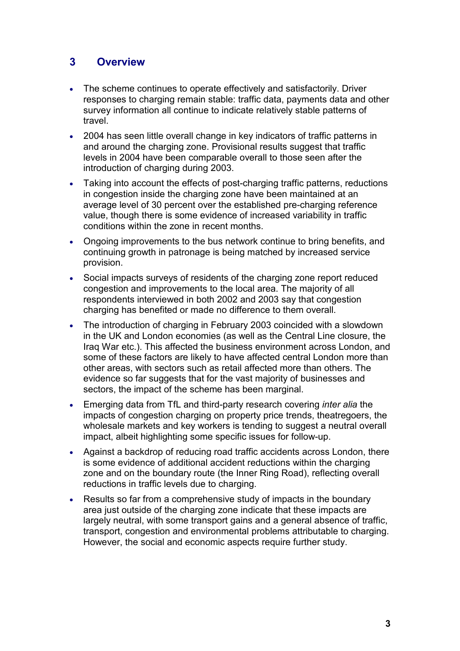# **3 Overview**

- The scheme continues to operate effectively and satisfactorily. Driver responses to charging remain stable: traffic data, payments data and other survey information all continue to indicate relatively stable patterns of travel.
- 2004 has seen little overall change in key indicators of traffic patterns in and around the charging zone. Provisional results suggest that traffic levels in 2004 have been comparable overall to those seen after the introduction of charging during 2003.
- Taking into account the effects of post-charging traffic patterns, reductions in congestion inside the charging zone have been maintained at an average level of 30 percent over the established pre-charging reference value, though there is some evidence of increased variability in traffic conditions within the zone in recent months.
- Ongoing improvements to the bus network continue to bring benefits, and continuing growth in patronage is being matched by increased service provision.
- Social impacts surveys of residents of the charging zone report reduced congestion and improvements to the local area. The majority of all respondents interviewed in both 2002 and 2003 say that congestion charging has benefited or made no difference to them overall.
- The introduction of charging in February 2003 coincided with a slowdown in the UK and London economies (as well as the Central Line closure, the Iraq War etc.). This affected the business environment across London, and some of these factors are likely to have affected central London more than other areas, with sectors such as retail affected more than others. The evidence so far suggests that for the vast majority of businesses and sectors, the impact of the scheme has been marginal.
- Emerging data from TfL and third-party research covering *inter alia* the impacts of congestion charging on property price trends, theatregoers, the wholesale markets and key workers is tending to suggest a neutral overall impact, albeit highlighting some specific issues for follow-up.
- Against a backdrop of reducing road traffic accidents across London, there is some evidence of additional accident reductions within the charging zone and on the boundary route (the Inner Ring Road), reflecting overall reductions in traffic levels due to charging.
- Results so far from a comprehensive study of impacts in the boundary area just outside of the charging zone indicate that these impacts are largely neutral, with some transport gains and a general absence of traffic, transport, congestion and environmental problems attributable to charging. However, the social and economic aspects require further study.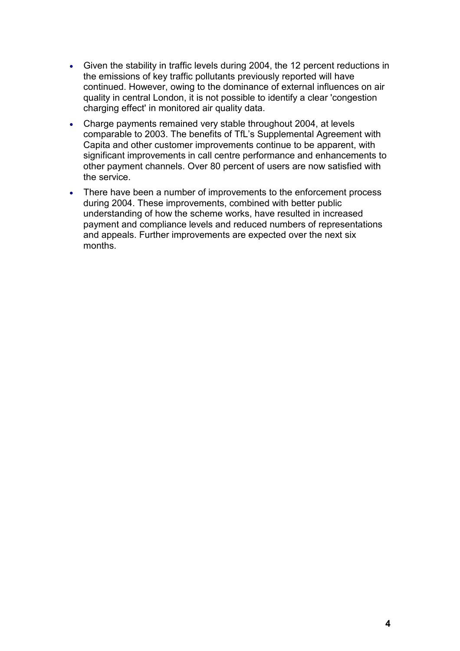- Given the stability in traffic levels during 2004, the 12 percent reductions in the emissions of key traffic pollutants previously reported will have continued. However, owing to the dominance of external influences on air quality in central London, it is not possible to identify a clear 'congestion charging effect' in monitored air quality data.
- Charge payments remained very stable throughout 2004, at levels comparable to 2003. The benefits of TfL's Supplemental Agreement with Capita and other customer improvements continue to be apparent, with significant improvements in call centre performance and enhancements to other payment channels. Over 80 percent of users are now satisfied with the service.
- There have been a number of improvements to the enforcement process during 2004. These improvements, combined with better public understanding of how the scheme works, have resulted in increased payment and compliance levels and reduced numbers of representations and appeals. Further improvements are expected over the next six months.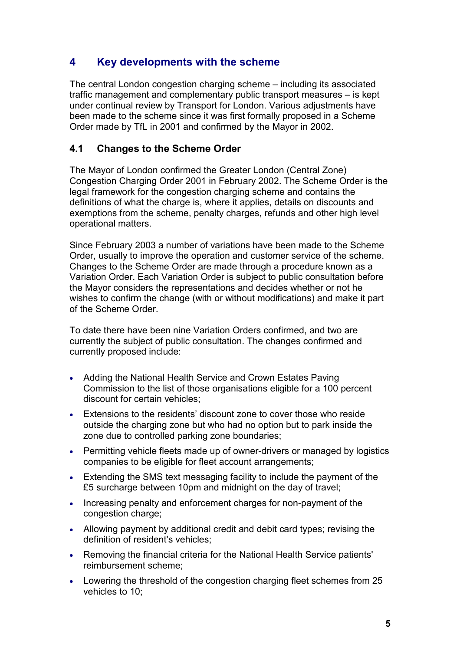# **4 Key developments with the scheme**

The central London congestion charging scheme – including its associated traffic management and complementary public transport measures – is kept under continual review by Transport for London. Various adjustments have been made to the scheme since it was first formally proposed in a Scheme Order made by TfL in 2001 and confirmed by the Mayor in 2002.

## **4.1 Changes to the Scheme Order**

The Mayor of London confirmed the Greater London (Central Zone) Congestion Charging Order 2001 in February 2002. The Scheme Order is the legal framework for the congestion charging scheme and contains the definitions of what the charge is, where it applies, details on discounts and exemptions from the scheme, penalty charges, refunds and other high level operational matters.

Since February 2003 a number of variations have been made to the Scheme Order, usually to improve the operation and customer service of the scheme. Changes to the Scheme Order are made through a procedure known as a Variation Order. Each Variation Order is subject to public consultation before the Mayor considers the representations and decides whether or not he wishes to confirm the change (with or without modifications) and make it part of the Scheme Order.

To date there have been nine Variation Orders confirmed, and two are currently the subject of public consultation. The changes confirmed and currently proposed include:

- Adding the National Health Service and Crown Estates Paving Commission to the list of those organisations eligible for a 100 percent discount for certain vehicles;
- Extensions to the residents' discount zone to cover those who reside outside the charging zone but who had no option but to park inside the zone due to controlled parking zone boundaries;
- Permitting vehicle fleets made up of owner-drivers or managed by logistics companies to be eligible for fleet account arrangements;
- Extending the SMS text messaging facility to include the payment of the £5 surcharge between 10pm and midnight on the day of travel;
- Increasing penalty and enforcement charges for non-payment of the congestion charge:
- Allowing payment by additional credit and debit card types; revising the definition of resident's vehicles;
- Removing the financial criteria for the National Health Service patients' reimbursement scheme;
- Lowering the threshold of the congestion charging fleet schemes from 25 vehicles to 10;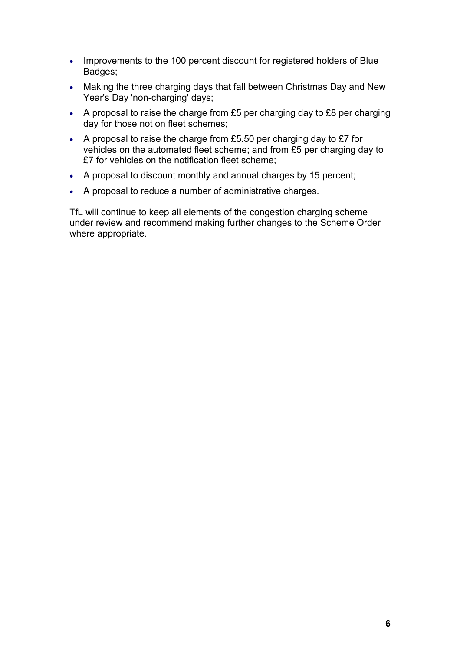- Improvements to the 100 percent discount for registered holders of Blue Badges;
- Making the three charging days that fall between Christmas Day and New Year's Day 'non-charging' days;
- A proposal to raise the charge from £5 per charging day to £8 per charging day for those not on fleet schemes;
- A proposal to raise the charge from £5.50 per charging day to  $£7$  for vehicles on the automated fleet scheme; and from £5 per charging day to £7 for vehicles on the notification fleet scheme;
- A proposal to discount monthly and annual charges by 15 percent;
- A proposal to reduce a number of administrative charges.

TfL will continue to keep all elements of the congestion charging scheme under review and recommend making further changes to the Scheme Order where appropriate.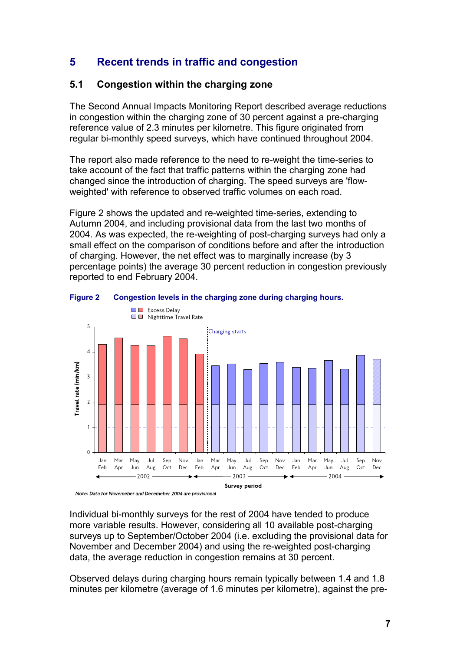# **5 Recent trends in traffic and congestion**

# **5.1 Congestion within the charging zone**

The Second Annual Impacts Monitoring Report described average reductions in congestion within the charging zone of 30 percent against a pre-charging reference value of 2.3 minutes per kilometre. This figure originated from regular bi-monthly speed surveys, which have continued throughout 2004.

The report also made reference to the need to re-weight the time-series to take account of the fact that traffic patterns within the charging zone had changed since the introduction of charging. The speed surveys are 'flowweighted' with reference to observed traffic volumes on each road.

Figure 2 shows the updated and re-weighted time-series, extending to Autumn 2004, and including provisional data from the last two months of 2004. As was expected, the re-weighting of post-charging surveys had only a small effect on the comparison of conditions before and after the introduction of charging. However, the net effect was to marginally increase (by 3 percentage points) the average 30 percent reduction in congestion previously reported to end February 2004.



#### **Figure 2 Congestion levels in the charging zone during charging hours.**

Note: Data for Novemeber and Decemeber 2004 are provisional

Individual bi-monthly surveys for the rest of 2004 have tended to produce more variable results. However, considering all 10 available post-charging surveys up to September/October 2004 (i.e. excluding the provisional data for November and December 2004) and using the re-weighted post-charging data, the average reduction in congestion remains at 30 percent.

Observed delays during charging hours remain typically between 1.4 and 1.8 minutes per kilometre (average of 1.6 minutes per kilometre), against the pre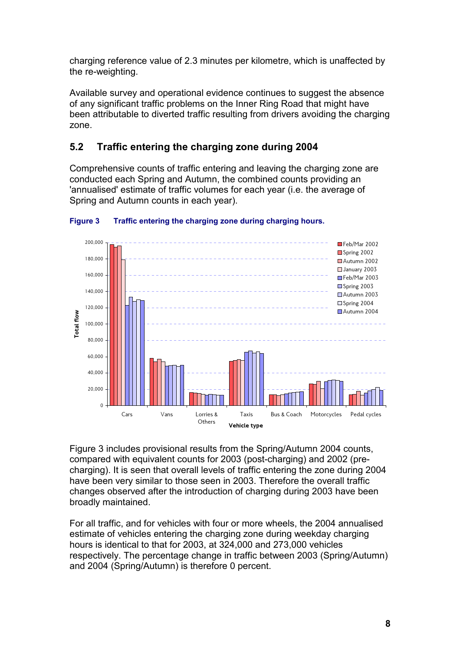charging reference value of 2.3 minutes per kilometre, which is unaffected by the re-weighting.

Available survey and operational evidence continues to suggest the absence of any significant traffic problems on the Inner Ring Road that might have been attributable to diverted traffic resulting from drivers avoiding the charging zone.

# **5.2 Traffic entering the charging zone during 2004**

Comprehensive counts of traffic entering and leaving the charging zone are conducted each Spring and Autumn, the combined counts providing an 'annualised' estimate of traffic volumes for each year (i.e. the average of Spring and Autumn counts in each year).



### **Figure 3 Traffic entering the charging zone during charging hours.**

Figure 3 includes provisional results from the Spring/Autumn 2004 counts, compared with equivalent counts for 2003 (post-charging) and 2002 (precharging). It is seen that overall levels of traffic entering the zone during 2004 have been very similar to those seen in 2003. Therefore the overall traffic changes observed after the introduction of charging during 2003 have been broadly maintained.

For all traffic, and for vehicles with four or more wheels, the 2004 annualised estimate of vehicles entering the charging zone during weekday charging hours is identical to that for 2003, at 324,000 and 273,000 vehicles respectively. The percentage change in traffic between 2003 (Spring/Autumn) and 2004 (Spring/Autumn) is therefore 0 percent.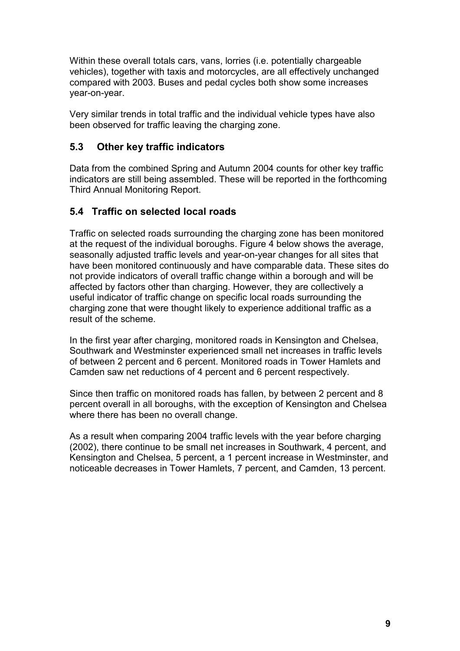Within these overall totals cars, vans, lorries (i.e. potentially chargeable vehicles), together with taxis and motorcycles, are all effectively unchanged compared with 2003. Buses and pedal cycles both show some increases year-on-year.

Very similar trends in total traffic and the individual vehicle types have also been observed for traffic leaving the charging zone.

## **5.3 Other key traffic indicators**

Data from the combined Spring and Autumn 2004 counts for other key traffic indicators are still being assembled. These will be reported in the forthcoming Third Annual Monitoring Report.

## **5.4 Traffic on selected local roads**

Traffic on selected roads surrounding the charging zone has been monitored at the request of the individual boroughs. Figure 4 below shows the average, seasonally adjusted traffic levels and year-on-year changes for all sites that have been monitored continuously and have comparable data. These sites do not provide indicators of overall traffic change within a borough and will be affected by factors other than charging. However, they are collectively a useful indicator of traffic change on specific local roads surrounding the charging zone that were thought likely to experience additional traffic as a result of the scheme.

In the first year after charging, monitored roads in Kensington and Chelsea, Southwark and Westminster experienced small net increases in traffic levels of between 2 percent and 6 percent. Monitored roads in Tower Hamlets and Camden saw net reductions of 4 percent and 6 percent respectively.

Since then traffic on monitored roads has fallen, by between 2 percent and 8 percent overall in all boroughs, with the exception of Kensington and Chelsea where there has been no overall change.

As a result when comparing 2004 traffic levels with the year before charging (2002), there continue to be small net increases in Southwark, 4 percent, and Kensington and Chelsea, 5 percent, a 1 percent increase in Westminster, and noticeable decreases in Tower Hamlets, 7 percent, and Camden, 13 percent.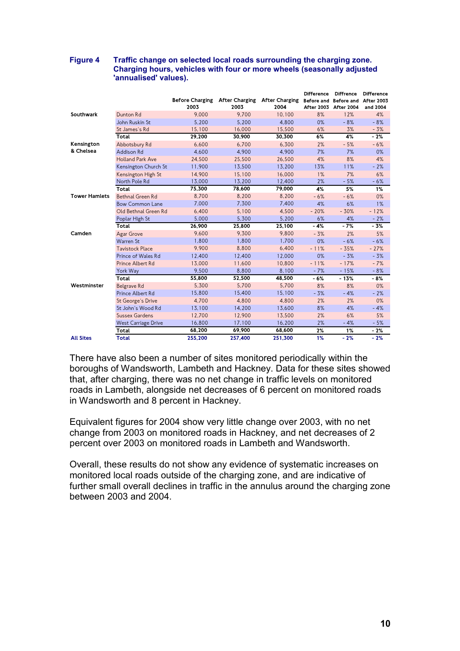|                      |                            | <b>Before Charging</b><br>2003 | <b>After Charging</b><br>2003 | <b>After Charging</b><br>2004 | <b>Difference</b><br><b>After 2003</b> | <b>Diffrence</b><br>Before and Before and<br>After 2004 | <b>Difference</b><br><b>After 2003</b><br>and 2004 |
|----------------------|----------------------------|--------------------------------|-------------------------------|-------------------------------|----------------------------------------|---------------------------------------------------------|----------------------------------------------------|
| Southwark            | Dunton Rd                  | 9.000                          | 9.700                         | 10.100                        | 8%                                     | 12%                                                     | 4%                                                 |
|                      | John Ruskin St             | 5,200                          | 5,200                         | 4,800                         | 0%                                     | $-8%$                                                   | $-8%$                                              |
|                      | St James's Rd              | 15,100                         | 16,000                        | 15,500                        | 6%                                     | 3%                                                      | $-3%$                                              |
|                      | Total                      | 29,200                         | 30,900                        | 30,300                        | 6%                                     | 4%                                                      | $-2%$                                              |
| Kensington           | Abbotsbury Rd              | 6.600                          | 6.700                         | 6.300                         | 2%                                     | $-5%$                                                   | $-6%$                                              |
| & Chelsea            | Addison Rd                 | 4.600                          | 4.900                         | 4.900                         | 7%                                     | 7%                                                      | 0%                                                 |
|                      | <b>Holland Park Ave</b>    | 24,500                         | 25,500                        | 26,500                        | 4%                                     | 8%                                                      | 4%                                                 |
|                      | Kensington Church St       | 11,900                         | 13,500                        | 13,200                        | 13%                                    | 11%                                                     | $-2%$                                              |
|                      | Kensington High St         | 14,900                         | 15,100                        | 16,000                        | $1\%$                                  | 7%                                                      | 6%                                                 |
|                      | North Pole Rd              | 13,000                         | 13,200                        | 12,400                        | 2%                                     | $-5%$                                                   | $-6%$                                              |
|                      | Total                      | 75,300                         | 78,600                        | 79,000                        | 4%                                     | 5%                                                      | 1%                                                 |
| <b>Tower Hamlets</b> | Bethnal Green Rd           | 8,700                          | 8,200                         | 8,200                         | $-6%$                                  | $-6%$                                                   | 0%                                                 |
|                      | <b>Bow Common Lane</b>     | 7,000                          | 7,300                         | 7,400                         | 4%                                     | 6%                                                      | $1\%$                                              |
|                      | Old Bethnal Green Rd       | 6,400                          | 5.100                         | 4,500                         | $-20%$                                 | $-30%$                                                  | $-12%$                                             |
|                      | Poplar High St             | 5,000                          | 5,300                         | 5,200                         | 6%                                     | 4%                                                      | $-2%$                                              |
|                      | Total                      | 26,900                         | 25,800                        | 25.100                        | $-4%$                                  | $-7%$                                                   | $-3%$                                              |
| Camden               | Agar Grove                 | 9,600                          | 9,300                         | 9,800                         | $-3%$                                  | 2%                                                      | 5%                                                 |
|                      | Warren St                  | 1,800                          | 1.800                         | 1.700                         | 0%                                     | $-6%$                                                   | $-6%$                                              |
|                      | <b>Tavistock Place</b>     | 9.900                          | 8.800                         | 6.400                         | $-11%$                                 | $-35%$                                                  | $-27%$                                             |
|                      | Prince of Wales Rd         | 12,400                         | 12,400                        | 12,000                        | 0%                                     | $-3%$                                                   | $-3%$                                              |
|                      | Prince Albert Rd           | 13,000                         | 11,600                        | 10,800                        | $-11%$                                 | $-17%$                                                  | $-7%$                                              |
|                      | York Way                   | 9,500                          | 8,800                         | 8,100                         | $-7%$                                  | $-15%$                                                  | $-8%$                                              |
|                      | Total                      | 55,800                         | 52,500                        | 48,500                        | $-6%$                                  | $-13%$                                                  | $-8%$                                              |
| Westminster          | Belgrave Rd                | 5,300                          | 5,700                         | 5,700                         | 8%                                     | 8%                                                      | 0%                                                 |
|                      | Prince Albert Rd           | 15,800                         | 15,400                        | 15,100                        | $-3%$                                  | $-4%$                                                   | $-2%$                                              |
|                      | St George's Drive          | 4,700                          | 4.800                         | 4,800                         | 2%                                     | 2%                                                      | 0%                                                 |
|                      | St. John's Wood Rd         | 13,100                         | 14,200                        | 13,600                        | 8%                                     | 4%                                                      | $-4%$                                              |
|                      | Sussex Gardens             | 12,700                         | 12,900                        | 13,500                        | 2%                                     | 6%                                                      | 5%                                                 |
|                      | <b>West Carriage Drive</b> | 16,800                         | 17,100                        | 16,200                        | 2%                                     | $-4%$                                                   | $-5%$                                              |
|                      | Total                      | 68,200                         | 69,900                        | 68,600                        | 2%                                     | 1%                                                      | $-2%$                                              |
| <b>All Sites</b>     | Total                      | 255.200                        | 257.400                       | 251.300                       | 1%                                     | $-2%$                                                   | $-2%$                                              |

#### **Figure 4 Traffic change on selected local roads surrounding the charging zone. Charging hours, vehicles with four or more wheels (seasonally adjusted 'annualised' values).**

There have also been a number of sites monitored periodically within the boroughs of Wandsworth, Lambeth and Hackney. Data for these sites showed that, after charging, there was no net change in traffic levels on monitored roads in Lambeth, alongside net decreases of 6 percent on monitored roads in Wandsworth and 8 percent in Hackney.

Equivalent figures for 2004 show very little change over 2003, with no net change from 2003 on monitored roads in Hackney, and net decreases of 2 percent over 2003 on monitored roads in Lambeth and Wandsworth.

Overall, these results do not show any evidence of systematic increases on monitored local roads outside of the charging zone, and are indicative of further small overall declines in traffic in the annulus around the charging zone between 2003 and 2004.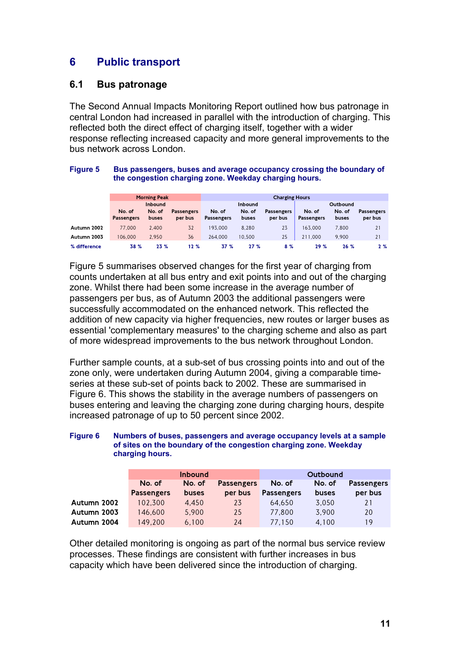# **6 Public transport**

### **6.1 Bus patronage**

The Second Annual Impacts Monitoring Report outlined how bus patronage in central London had increased in parallel with the introduction of charging. This reflected both the direct effect of charging itself, together with a wider response reflecting increased capacity and more general improvements to the bus network across London.

#### **Figure 5 Bus passengers, buses and average occupancy crossing the boundary of the congestion charging zone. Weekday charging hours.**

|              | <b>Morning Peak</b> |        |                   | <b>Charging Hours</b> |        |                   |                   |        |                   |
|--------------|---------------------|--------|-------------------|-----------------------|--------|-------------------|-------------------|--------|-------------------|
|              | Inbound             |        |                   | Inbound               |        |                   | Outbound          |        |                   |
|              | No. of              | No. of | <b>Passengers</b> | No. of                | No. of | <b>Passengers</b> | No. of            | No. of | <b>Passengers</b> |
|              | <b>Passengers</b>   | buses  | per bus           | <b>Passengers</b>     | buses  | per bus           | <b>Passengers</b> | buses  | per bus           |
| Autumn 2002  | 77,000              | 2.400  | 32                | 193.000               | 8.280  | 23                | 163.000           | 7.800  | 21                |
| Autumn 2003  | 106,000             | 2.950  | 36                | 264.000               | 10.500 | 25                | 211.000           | 9.900  | 21                |
| % difference | 38 %                | 23%    | 12%               | 37 %                  | 27%    | 8%                | 29%               | 26%    | 2%                |

Figure 5 summarises observed changes for the first year of charging from counts undertaken at all bus entry and exit points into and out of the charging zone. Whilst there had been some increase in the average number of passengers per bus, as of Autumn 2003 the additional passengers were successfully accommodated on the enhanced network. This reflected the addition of new capacity via higher frequencies, new routes or larger buses as essential 'complementary measures' to the charging scheme and also as part of more widespread improvements to the bus network throughout London.

Further sample counts, at a sub-set of bus crossing points into and out of the zone only, were undertaken during Autumn 2004, giving a comparable timeseries at these sub-set of points back to 2002. These are summarised in Figure 6. This shows the stability in the average numbers of passengers on buses entering and leaving the charging zone during charging hours, despite increased patronage of up to 50 percent since 2002.

#### **Figure 6 Numbers of buses, passengers and average occupancy levels at a sample of sites on the boundary of the congestion charging zone. Weekday charging hours.**

|             |                   | <b>Inbound</b> |                   |                   | Outbound |                   |
|-------------|-------------------|----------------|-------------------|-------------------|----------|-------------------|
|             | No. of            | No. of         | <b>Passengers</b> | No. of            | No. of   | <b>Passengers</b> |
|             | <b>Passengers</b> | <b>buses</b>   | per bus           | <b>Passengers</b> | buses    | per bus           |
| Autumn 2002 | 102.300           | 4.450          | 23                | 64.650            | 3,050    | 21                |
| Autumn 2003 | 146.600           | 5.900          | 25                | 77,800            | 3.900    | 20                |
| Autumn 2004 | 149.200           | 6.100          | 24                | 77.150            | 4.100    | 19                |

Other detailed monitoring is ongoing as part of the normal bus service review processes. These findings are consistent with further increases in bus capacity which have been delivered since the introduction of charging.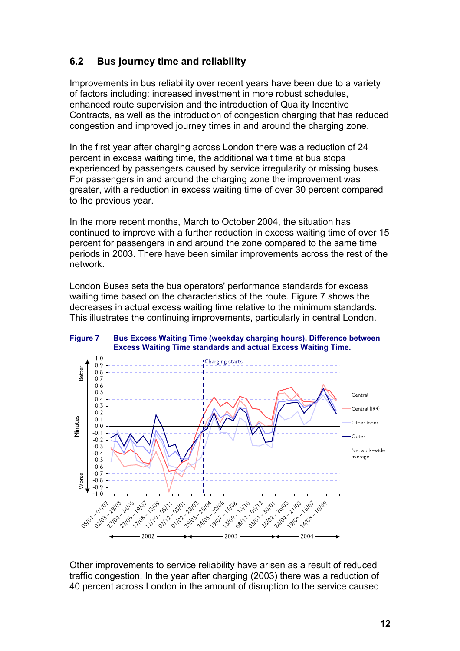# **6.2 Bus journey time and reliability**

Improvements in bus reliability over recent years have been due to a variety of factors including: increased investment in more robust schedules, enhanced route supervision and the introduction of Quality Incentive Contracts, as well as the introduction of congestion charging that has reduced congestion and improved journey times in and around the charging zone.

In the first year after charging across London there was a reduction of 24 percent in excess waiting time, the additional wait time at bus stops experienced by passengers caused by service irregularity or missing buses. For passengers in and around the charging zone the improvement was greater, with a reduction in excess waiting time of over 30 percent compared to the previous year.

In the more recent months, March to October 2004, the situation has continued to improve with a further reduction in excess waiting time of over 15 percent for passengers in and around the zone compared to the same time periods in 2003. There have been similar improvements across the rest of the network.

London Buses sets the bus operators' performance standards for excess waiting time based on the characteristics of the route. Figure 7 shows the decreases in actual excess waiting time relative to the minimum standards. This illustrates the continuing improvements, particularly in central London.

**Figure 7 Bus Excess Waiting Time (weekday charging hours). Difference between Excess Waiting Time standards and actual Excess Waiting Time.**



Other improvements to service reliability have arisen as a result of reduced traffic congestion. In the year after charging (2003) there was a reduction of 40 percent across London in the amount of disruption to the service caused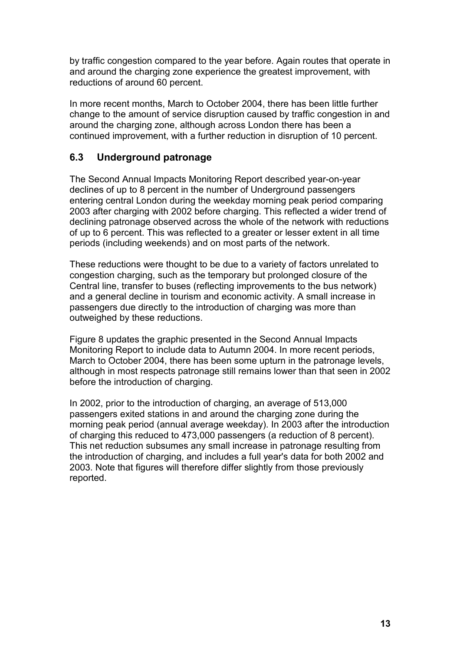by traffic congestion compared to the year before. Again routes that operate in and around the charging zone experience the greatest improvement, with reductions of around 60 percent.

In more recent months, March to October 2004, there has been little further change to the amount of service disruption caused by traffic congestion in and around the charging zone, although across London there has been a continued improvement, with a further reduction in disruption of 10 percent.

# **6.3 Underground patronage**

The Second Annual Impacts Monitoring Report described year-on-year declines of up to 8 percent in the number of Underground passengers entering central London during the weekday morning peak period comparing 2003 after charging with 2002 before charging. This reflected a wider trend of declining patronage observed across the whole of the network with reductions of up to 6 percent. This was reflected to a greater or lesser extent in all time periods (including weekends) and on most parts of the network.

These reductions were thought to be due to a variety of factors unrelated to congestion charging, such as the temporary but prolonged closure of the Central line, transfer to buses (reflecting improvements to the bus network) and a general decline in tourism and economic activity. A small increase in passengers due directly to the introduction of charging was more than outweighed by these reductions.

Figure 8 updates the graphic presented in the Second Annual Impacts Monitoring Report to include data to Autumn 2004. In more recent periods, March to October 2004, there has been some upturn in the patronage levels, although in most respects patronage still remains lower than that seen in 2002 before the introduction of charging.

In 2002, prior to the introduction of charging, an average of 513,000 passengers exited stations in and around the charging zone during the morning peak period (annual average weekday). In 2003 after the introduction of charging this reduced to 473,000 passengers (a reduction of 8 percent). This net reduction subsumes any small increase in patronage resulting from the introduction of charging, and includes a full year's data for both 2002 and 2003. Note that figures will therefore differ slightly from those previously reported.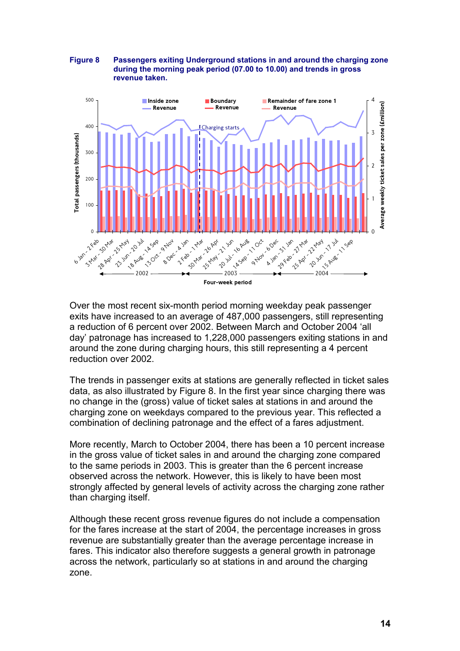#### **Figure 8 Passengers exiting Underground stations in and around the charging zone during the morning peak period (07.00 to 10.00) and trends in gross revenue taken.**



Over the most recent six-month period morning weekday peak passenger exits have increased to an average of 487,000 passengers, still representing a reduction of 6 percent over 2002. Between March and October 2004 'all day' patronage has increased to 1,228,000 passengers exiting stations in and around the zone during charging hours, this still representing a 4 percent reduction over 2002.

The trends in passenger exits at stations are generally reflected in ticket sales data, as also illustrated by Figure 8. In the first year since charging there was no change in the (gross) value of ticket sales at stations in and around the charging zone on weekdays compared to the previous year. This reflected a combination of declining patronage and the effect of a fares adjustment.

More recently, March to October 2004, there has been a 10 percent increase in the gross value of ticket sales in and around the charging zone compared to the same periods in 2003. This is greater than the 6 percent increase observed across the network. However, this is likely to have been most strongly affected by general levels of activity across the charging zone rather than charging itself.

Although these recent gross revenue figures do not include a compensation for the fares increase at the start of 2004, the percentage increases in gross revenue are substantially greater than the average percentage increase in fares. This indicator also therefore suggests a general growth in patronage across the network, particularly so at stations in and around the charging zone.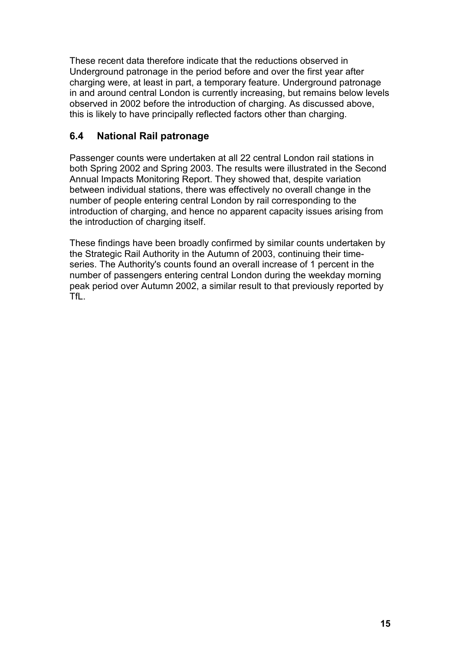These recent data therefore indicate that the reductions observed in Underground patronage in the period before and over the first year after charging were, at least in part, a temporary feature. Underground patronage in and around central London is currently increasing, but remains below levels observed in 2002 before the introduction of charging. As discussed above, this is likely to have principally reflected factors other than charging.

# **6.4 National Rail patronage**

Passenger counts were undertaken at all 22 central London rail stations in both Spring 2002 and Spring 2003. The results were illustrated in the Second Annual Impacts Monitoring Report. They showed that, despite variation between individual stations, there was effectively no overall change in the number of people entering central London by rail corresponding to the introduction of charging, and hence no apparent capacity issues arising from the introduction of charging itself.

These findings have been broadly confirmed by similar counts undertaken by the Strategic Rail Authority in the Autumn of 2003, continuing their timeseries. The Authority's counts found an overall increase of 1 percent in the number of passengers entering central London during the weekday morning peak period over Autumn 2002, a similar result to that previously reported by TfL.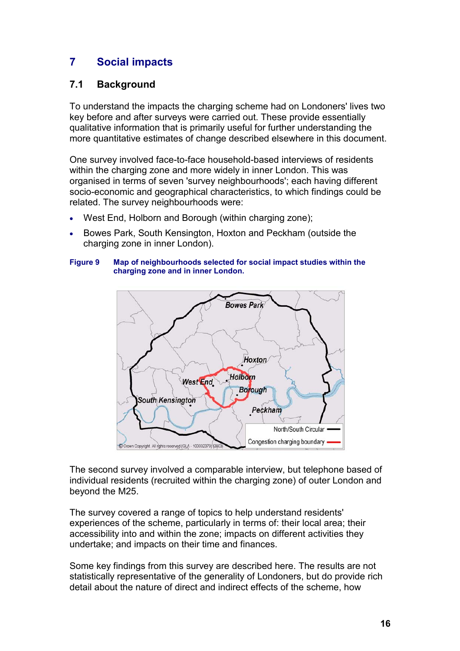# **7 Social impacts**

## **7.1 Background**

To understand the impacts the charging scheme had on Londoners' lives two key before and after surveys were carried out. These provide essentially qualitative information that is primarily useful for further understanding the more quantitative estimates of change described elsewhere in this document.

One survey involved face-to-face household-based interviews of residents within the charging zone and more widely in inner London. This was organised in terms of seven 'survey neighbourhoods'; each having different socio-economic and geographical characteristics, to which findings could be related. The survey neighbourhoods were:

- West End, Holborn and Borough (within charging zone);
- Bowes Park, South Kensington, Hoxton and Peckham (outside the charging zone in inner London).

#### **Figure 9 Map of neighbourhoods selected for social impact studies within the charging zone and in inner London.**



The second survey involved a comparable interview, but telephone based of individual residents (recruited within the charging zone) of outer London and beyond the M25.

The survey covered a range of topics to help understand residents' experiences of the scheme, particularly in terms of: their local area; their accessibility into and within the zone; impacts on different activities they undertake; and impacts on their time and finances.

Some key findings from this survey are described here. The results are not statistically representative of the generality of Londoners, but do provide rich detail about the nature of direct and indirect effects of the scheme, how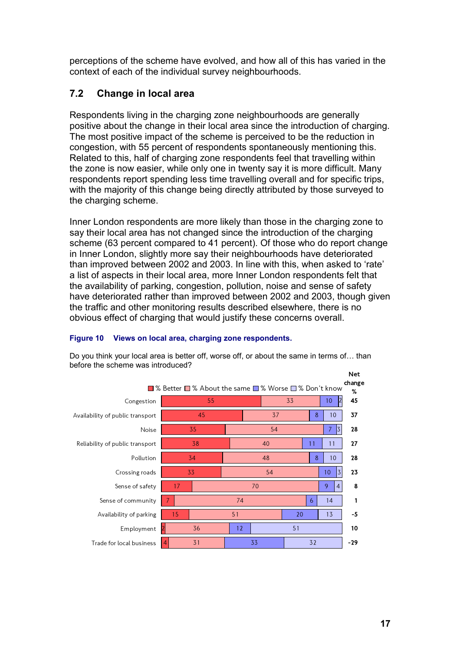perceptions of the scheme have evolved, and how all of this has varied in the context of each of the individual survey neighbourhoods.

# **7.2 Change in local area**

Respondents living in the charging zone neighbourhoods are generally positive about the change in their local area since the introduction of charging. The most positive impact of the scheme is perceived to be the reduction in congestion, with 55 percent of respondents spontaneously mentioning this. Related to this, half of charging zone respondents feel that travelling within the zone is now easier, while only one in twenty say it is more difficult. Many respondents report spending less time travelling overall and for specific trips, with the majority of this change being directly attributed by those surveyed to the charging scheme.

Inner London respondents are more likely than those in the charging zone to say their local area has not changed since the introduction of the charging scheme (63 percent compared to 41 percent). Of those who do report change in Inner London, slightly more say their neighbourhoods have deteriorated than improved between 2002 and 2003. In line with this, when asked to 'rate' a list of aspects in their local area, more Inner London respondents felt that the availability of parking, congestion, pollution, noise and sense of safety have deteriorated rather than improved between 2002 and 2003, though given the traffic and other monitoring results described elsewhere, there is no obvious effect of charging that would justify these concerns overall.

### **Figure 10 Views on local area, charging zone respondents.**

|                                  | ■ % Better ■ % About the same ■ % Worse ■ % Don't know |    |    |                      | <b>Net</b><br>change<br>% |
|----------------------------------|--------------------------------------------------------|----|----|----------------------|---------------------------|
| Congestion                       | 55                                                     |    | 33 | 10                   | 45                        |
| Availability of public transport | 45                                                     |    | 37 | 8<br>10              | 37                        |
| Noise                            | 35                                                     |    | 54 | 3<br>7               | 28                        |
| Reliability of public transport  | 38                                                     |    | 40 | 11<br>11             | 27                        |
| Pollution                        | 34                                                     |    | 48 | 8<br>10              | 28                        |
| Crossing roads                   | 33                                                     |    | 54 | $\overline{3}$<br>10 | 23                        |
| Sense of safety                  | 17                                                     | 70 |    | 9<br>$\overline{4}$  | 8                         |
| Sense of community               |                                                        | 74 |    | 6<br>14              | 1                         |
| Availability of parking          | 15                                                     | 51 |    | 13<br>20             | $-5$                      |
| Employment                       | 36                                                     | 12 | 51 |                      | 10                        |
| Trade for local business         | 31<br>4                                                | 33 |    | 32                   | $-29$                     |
|                                  |                                                        |    |    |                      |                           |

Do you think your local area is better off, worse off, or about the same in terms of… than before the scheme was introduced?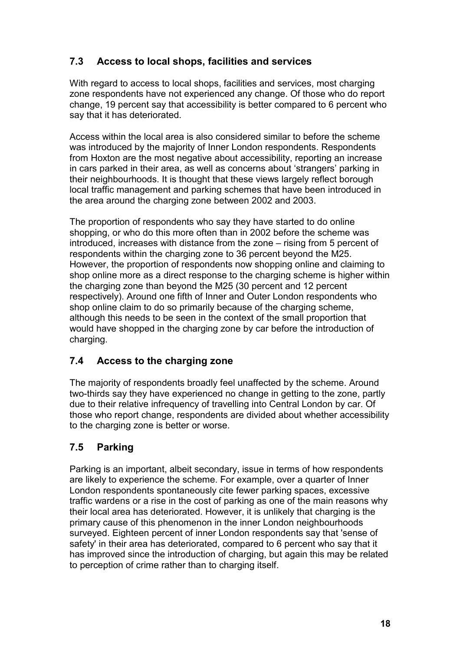# **7.3 Access to local shops, facilities and services**

With regard to access to local shops, facilities and services, most charging zone respondents have not experienced any change. Of those who do report change, 19 percent say that accessibility is better compared to 6 percent who say that it has deteriorated.

Access within the local area is also considered similar to before the scheme was introduced by the majority of Inner London respondents. Respondents from Hoxton are the most negative about accessibility, reporting an increase in cars parked in their area, as well as concerns about 'strangers' parking in their neighbourhoods. It is thought that these views largely reflect borough local traffic management and parking schemes that have been introduced in the area around the charging zone between 2002 and 2003.

The proportion of respondents who say they have started to do online shopping, or who do this more often than in 2002 before the scheme was introduced, increases with distance from the zone – rising from 5 percent of respondents within the charging zone to 36 percent beyond the M25. However, the proportion of respondents now shopping online and claiming to shop online more as a direct response to the charging scheme is higher within the charging zone than beyond the M25 (30 percent and 12 percent respectively). Around one fifth of Inner and Outer London respondents who shop online claim to do so primarily because of the charging scheme, although this needs to be seen in the context of the small proportion that would have shopped in the charging zone by car before the introduction of charging.

# **7.4 Access to the charging zone**

The majority of respondents broadly feel unaffected by the scheme. Around two-thirds say they have experienced no change in getting to the zone, partly due to their relative infrequency of travelling into Central London by car. Of those who report change, respondents are divided about whether accessibility to the charging zone is better or worse.

# **7.5 Parking**

Parking is an important, albeit secondary, issue in terms of how respondents are likely to experience the scheme. For example, over a quarter of Inner London respondents spontaneously cite fewer parking spaces, excessive traffic wardens or a rise in the cost of parking as one of the main reasons why their local area has deteriorated. However, it is unlikely that charging is the primary cause of this phenomenon in the inner London neighbourhoods surveyed. Eighteen percent of inner London respondents say that 'sense of safety' in their area has deteriorated, compared to 6 percent who say that it has improved since the introduction of charging, but again this may be related to perception of crime rather than to charging itself.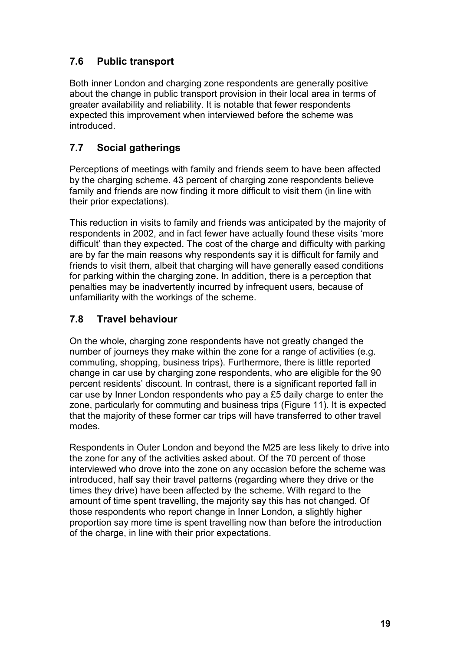# **7.6 Public transport**

Both inner London and charging zone respondents are generally positive about the change in public transport provision in their local area in terms of greater availability and reliability. It is notable that fewer respondents expected this improvement when interviewed before the scheme was introduced.

# **7.7 Social gatherings**

Perceptions of meetings with family and friends seem to have been affected by the charging scheme. 43 percent of charging zone respondents believe family and friends are now finding it more difficult to visit them (in line with their prior expectations).

This reduction in visits to family and friends was anticipated by the majority of respondents in 2002, and in fact fewer have actually found these visits 'more difficult' than they expected. The cost of the charge and difficulty with parking are by far the main reasons why respondents say it is difficult for family and friends to visit them, albeit that charging will have generally eased conditions for parking within the charging zone. In addition, there is a perception that penalties may be inadvertently incurred by infrequent users, because of unfamiliarity with the workings of the scheme.

# **7.8 Travel behaviour**

On the whole, charging zone respondents have not greatly changed the number of journeys they make within the zone for a range of activities (e.g. commuting, shopping, business trips). Furthermore, there is little reported change in car use by charging zone respondents, who are eligible for the 90 percent residents' discount. In contrast, there is a significant reported fall in car use by Inner London respondents who pay a £5 daily charge to enter the zone, particularly for commuting and business trips (Figure 11). It is expected that the majority of these former car trips will have transferred to other travel modes.

Respondents in Outer London and beyond the M25 are less likely to drive into the zone for any of the activities asked about. Of the 70 percent of those interviewed who drove into the zone on any occasion before the scheme was introduced, half say their travel patterns (regarding where they drive or the times they drive) have been affected by the scheme. With regard to the amount of time spent travelling, the majority say this has not changed. Of those respondents who report change in Inner London, a slightly higher proportion say more time is spent travelling now than before the introduction of the charge, in line with their prior expectations.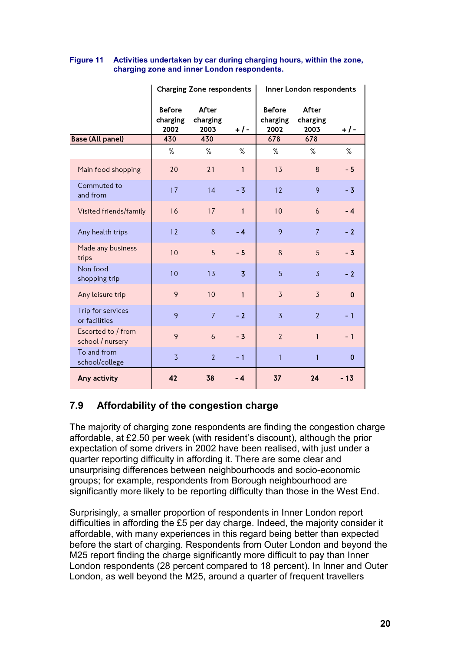|                                        | Charging Zone respondents         |                                  |                |                                   | Inner London respondents  |             |
|----------------------------------------|-----------------------------------|----------------------------------|----------------|-----------------------------------|---------------------------|-------------|
|                                        | <b>Before</b><br>charging<br>2002 | <b>After</b><br>charging<br>2003 | + / -          | <b>Before</b><br>charging<br>2002 | After<br>charging<br>2003 | + / -       |
| <b>Base (All panel)</b>                | 430<br>%                          | 430<br>%                         | %              | 678<br>%                          | 678<br>%                  | %           |
| Main food shopping                     | 20                                | 21                               | 1              | 13                                | 8                         | $-5$        |
| Commuted to<br>and from                | 17                                | 14                               | $-3$           | 12                                | 9                         | $-3$        |
| Visited friends/family                 | 16                                | 17                               | $\mathbf{1}$   | 10                                | 6                         | $-4$        |
| Any health trips                       | 12                                | 8                                | $-4$           | 9                                 | $\overline{7}$            | $-2$        |
| Made any business<br>trips             | 10                                | 5                                | $-5$           | $\delta$                          | 5                         | $-3$        |
| Non food<br>shopping trip              | 10                                | 13                               | $\overline{3}$ | 5                                 | $\overline{3}$            | $-2$        |
| Any leisure trip                       | 9                                 | 10                               | $\mathbf{1}$   | $\overline{3}$                    | $\overline{3}$            | $\mathbf 0$ |
| Trip for services<br>or facilities     | 9                                 | $\overline{7}$                   | $-2$           | $\overline{3}$                    | $\overline{2}$            | $-1$        |
| Escorted to / from<br>school / nursery | 9                                 | 6                                | $-3$           | $\overline{2}$                    | $\mathbf{1}$              | $-1$        |
| To and from<br>school/college          | $\overline{3}$                    | $\overline{2}$                   | $-1$           | 1                                 | 1                         | $\mathbf 0$ |
| Any activity                           | 42                                | 38                               | - 4            | 37                                | 24                        | $-13$       |

#### **Figure 11 Activities undertaken by car during charging hours, within the zone, charging zone and inner London respondents.**

# **7.9 Affordability of the congestion charge**

The majority of charging zone respondents are finding the congestion charge affordable, at £2.50 per week (with resident's discount), although the prior expectation of some drivers in 2002 have been realised, with just under a quarter reporting difficulty in affording it. There are some clear and unsurprising differences between neighbourhoods and socio-economic groups; for example, respondents from Borough neighbourhood are significantly more likely to be reporting difficulty than those in the West End.

Surprisingly, a smaller proportion of respondents in Inner London report difficulties in affording the £5 per day charge. Indeed, the majority consider it affordable, with many experiences in this regard being better than expected before the start of charging. Respondents from Outer London and beyond the M25 report finding the charge significantly more difficult to pay than Inner London respondents (28 percent compared to 18 percent). In Inner and Outer London, as well beyond the M25, around a quarter of frequent travellers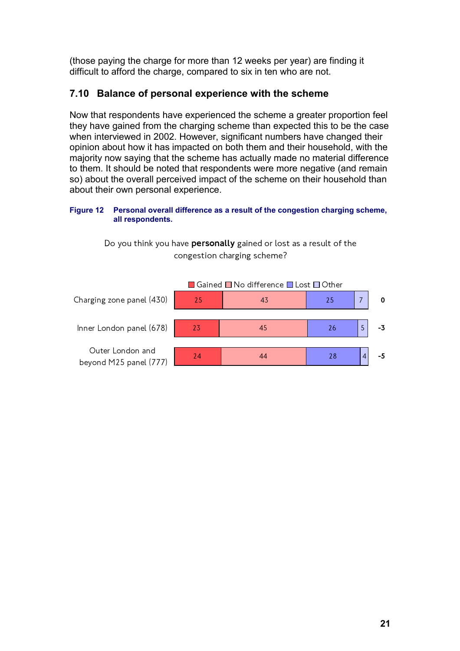(those paying the charge for more than 12 weeks per year) are finding it difficult to afford the charge, compared to six in ten who are not.

# **7.10 Balance of personal experience with the scheme**

Now that respondents have experienced the scheme a greater proportion feel they have gained from the charging scheme than expected this to be the case when interviewed in 2002. However, significant numbers have changed their opinion about how it has impacted on both them and their household, with the majority now saying that the scheme has actually made no material difference to them. It should be noted that respondents were more negative (and remain so) about the overall perceived impact of the scheme on their household than about their own personal experience.

### **Figure 12 Personal overall difference as a result of the congestion charging scheme, all respondents.**

Do you think you have personally gained or lost as a result of the congestion charging scheme?

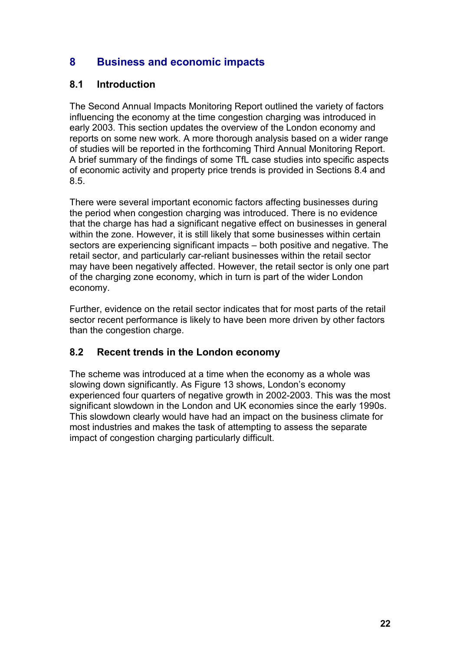# **8 Business and economic impacts**

# **8.1 Introduction**

The Second Annual Impacts Monitoring Report outlined the variety of factors influencing the economy at the time congestion charging was introduced in early 2003. This section updates the overview of the London economy and reports on some new work. A more thorough analysis based on a wider range of studies will be reported in the forthcoming Third Annual Monitoring Report. A brief summary of the findings of some TfL case studies into specific aspects of economic activity and property price trends is provided in Sections 8.4 and 8.5.

There were several important economic factors affecting businesses during the period when congestion charging was introduced. There is no evidence that the charge has had a significant negative effect on businesses in general within the zone. However, it is still likely that some businesses within certain sectors are experiencing significant impacts – both positive and negative. The retail sector, and particularly car-reliant businesses within the retail sector may have been negatively affected. However, the retail sector is only one part of the charging zone economy, which in turn is part of the wider London economy.

Further, evidence on the retail sector indicates that for most parts of the retail sector recent performance is likely to have been more driven by other factors than the congestion charge.

# **8.2 Recent trends in the London economy**

The scheme was introduced at a time when the economy as a whole was slowing down significantly. As Figure 13 shows, London's economy experienced four quarters of negative growth in 2002-2003. This was the most significant slowdown in the London and UK economies since the early 1990s. This slowdown clearly would have had an impact on the business climate for most industries and makes the task of attempting to assess the separate impact of congestion charging particularly difficult.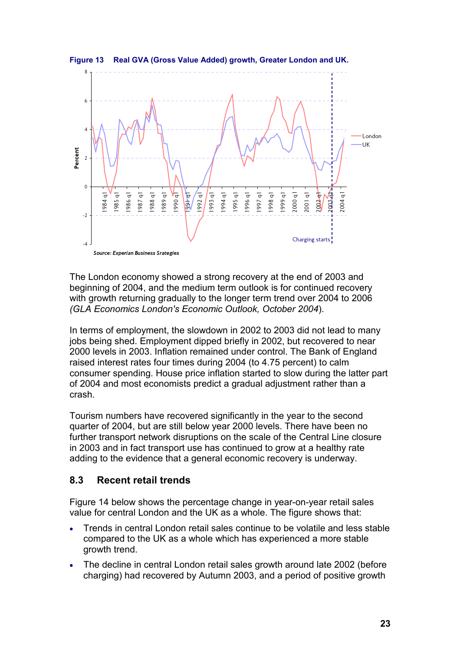



The London economy showed a strong recovery at the end of 2003 and beginning of 2004, and the medium term outlook is for continued recovery with growth returning gradually to the longer term trend over 2004 to 2006 *(GLA Economics London's Economic Outlook, October 2004*).

In terms of employment, the slowdown in 2002 to 2003 did not lead to many jobs being shed. Employment dipped briefly in 2002, but recovered to near 2000 levels in 2003. Inflation remained under control. The Bank of England raised interest rates four times during 2004 (to 4.75 percent) to calm consumer spending. House price inflation started to slow during the latter part of 2004 and most economists predict a gradual adjustment rather than a crash.

Tourism numbers have recovered significantly in the year to the second quarter of 2004, but are still below year 2000 levels. There have been no further transport network disruptions on the scale of the Central Line closure in 2003 and in fact transport use has continued to grow at a healthy rate adding to the evidence that a general economic recovery is underway.

# **8.3 Recent retail trends**

Figure 14 below shows the percentage change in year-on-year retail sales value for central London and the UK as a whole. The figure shows that:

- Trends in central London retail sales continue to be volatile and less stable compared to the UK as a whole which has experienced a more stable growth trend.
- The decline in central London retail sales growth around late 2002 (before charging) had recovered by Autumn 2003, and a period of positive growth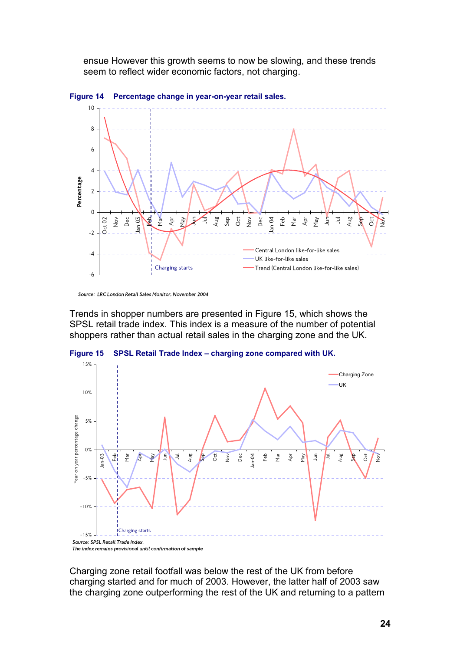ensue However this growth seems to now be slowing, and these trends seem to reflect wider economic factors, not charging.



**Figure 14 Percentage change in year-on-year retail sales.**

Trends in shopper numbers are presented in Figure 15, which shows the SPSL retail trade index. This index is a measure of the number of potential shoppers rather than actual retail sales in the charging zone and the UK.





Charging zone retail footfall was below the rest of the UK from before charging started and for much of 2003. However, the latter half of 2003 saw the charging zone outperforming the rest of the UK and returning to a pattern

Source: LRC London Retail Sales Monitor, November 2004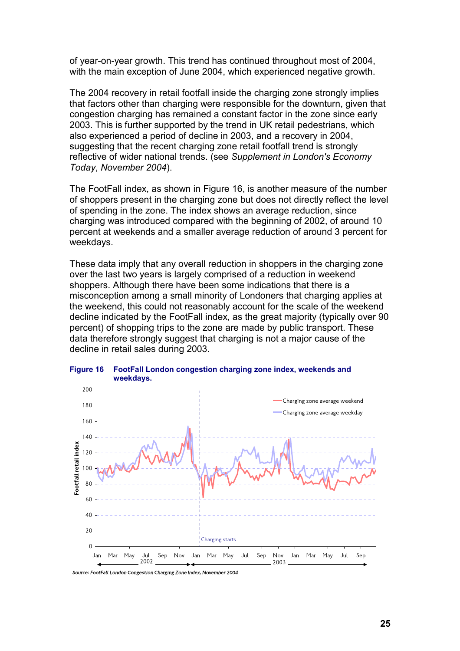of year-on-year growth. This trend has continued throughout most of 2004, with the main exception of June 2004, which experienced negative growth.

The 2004 recovery in retail footfall inside the charging zone strongly implies that factors other than charging were responsible for the downturn, given that congestion charging has remained a constant factor in the zone since early 2003. This is further supported by the trend in UK retail pedestrians, which also experienced a period of decline in 2003, and a recovery in 2004, suggesting that the recent charging zone retail footfall trend is strongly reflective of wider national trends. (see *Supplement in London's Economy Today*, *November 2004*).

The FootFall index, as shown in Figure 16, is another measure of the number of shoppers present in the charging zone but does not directly reflect the level of spending in the zone. The index shows an average reduction, since charging was introduced compared with the beginning of 2002, of around 10 percent at weekends and a smaller average reduction of around 3 percent for weekdays.

These data imply that any overall reduction in shoppers in the charging zone over the last two years is largely comprised of a reduction in weekend shoppers. Although there have been some indications that there is a misconception among a small minority of Londoners that charging applies at the weekend, this could not reasonably account for the scale of the weekend decline indicated by the FootFall index, as the great majority (typically over 90 percent) of shopping trips to the zone are made by public transport. These data therefore strongly suggest that charging is not a major cause of the decline in retail sales during 2003.



**Figure 16 FootFall London congestion charging zone index, weekends and**

Source: FootFall London Congestion Charging Zone Index, November 2004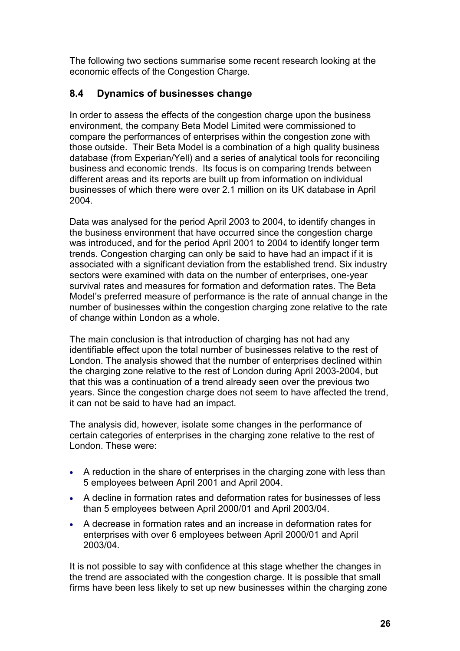The following two sections summarise some recent research looking at the economic effects of the Congestion Charge.

# **8.4 Dynamics of businesses change**

In order to assess the effects of the congestion charge upon the business environment, the company Beta Model Limited were commissioned to compare the performances of enterprises within the congestion zone with those outside. Their Beta Model is a combination of a high quality business database (from Experian/Yell) and a series of analytical tools for reconciling business and economic trends. Its focus is on comparing trends between different areas and its reports are built up from information on individual businesses of which there were over 2.1 million on its UK database in April 2004.

Data was analysed for the period April 2003 to 2004, to identify changes in the business environment that have occurred since the congestion charge was introduced, and for the period April 2001 to 2004 to identify longer term trends. Congestion charging can only be said to have had an impact if it is associated with a significant deviation from the established trend. Six industry sectors were examined with data on the number of enterprises, one-year survival rates and measures for formation and deformation rates. The Beta Model's preferred measure of performance is the rate of annual change in the number of businesses within the congestion charging zone relative to the rate of change within London as a whole.

The main conclusion is that introduction of charging has not had any identifiable effect upon the total number of businesses relative to the rest of London. The analysis showed that the number of enterprises declined within the charging zone relative to the rest of London during April 2003-2004, but that this was a continuation of a trend already seen over the previous two years. Since the congestion charge does not seem to have affected the trend, it can not be said to have had an impact.

The analysis did, however, isolate some changes in the performance of certain categories of enterprises in the charging zone relative to the rest of London. These were:

- A reduction in the share of enterprises in the charging zone with less than 5 employees between April 2001 and April 2004.
- A decline in formation rates and deformation rates for businesses of less than 5 employees between April 2000/01 and April 2003/04.
- A decrease in formation rates and an increase in deformation rates for enterprises with over 6 employees between April 2000/01 and April 2003/04.

It is not possible to say with confidence at this stage whether the changes in the trend are associated with the congestion charge. It is possible that small firms have been less likely to set up new businesses within the charging zone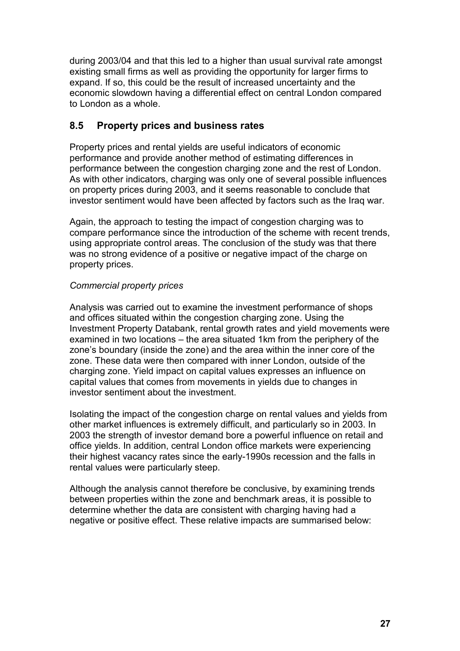during 2003/04 and that this led to a higher than usual survival rate amongst existing small firms as well as providing the opportunity for larger firms to expand. If so, this could be the result of increased uncertainty and the economic slowdown having a differential effect on central London compared to London as a whole.

# **8.5 Property prices and business rates**

Property prices and rental yields are useful indicators of economic performance and provide another method of estimating differences in performance between the congestion charging zone and the rest of London. As with other indicators, charging was only one of several possible influences on property prices during 2003, and it seems reasonable to conclude that investor sentiment would have been affected by factors such as the Iraq war.

Again, the approach to testing the impact of congestion charging was to compare performance since the introduction of the scheme with recent trends, using appropriate control areas. The conclusion of the study was that there was no strong evidence of a positive or negative impact of the charge on property prices.

### *Commercial property prices*

Analysis was carried out to examine the investment performance of shops and offices situated within the congestion charging zone. Using the Investment Property Databank, rental growth rates and yield movements were examined in two locations – the area situated 1km from the periphery of the zone's boundary (inside the zone) and the area within the inner core of the zone. These data were then compared with inner London, outside of the charging zone. Yield impact on capital values expresses an influence on capital values that comes from movements in yields due to changes in investor sentiment about the investment.

Isolating the impact of the congestion charge on rental values and yields from other market influences is extremely difficult, and particularly so in 2003. In 2003 the strength of investor demand bore a powerful influence on retail and office yields. In addition, central London office markets were experiencing their highest vacancy rates since the early-1990s recession and the falls in rental values were particularly steep.

Although the analysis cannot therefore be conclusive, by examining trends between properties within the zone and benchmark areas, it is possible to determine whether the data are consistent with charging having had a negative or positive effect. These relative impacts are summarised below: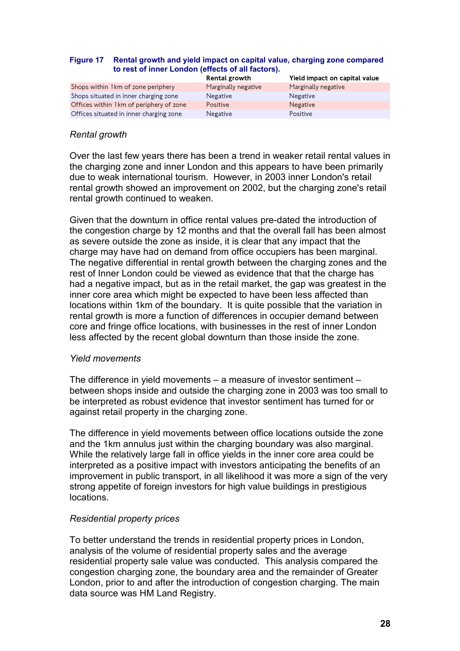#### **Figure 17 Rental growth and yield impact on capital value, charging zone compared to rest of inner London (effects of all factors).**

|                                          | Rental growth       | Yield impact on capital value |
|------------------------------------------|---------------------|-------------------------------|
| Shops within 1 km of zone periphery      | Marginally negative | Marginally negative           |
| Shops situated in inner charging zone    | <b>Negative</b>     | <b>Negative</b>               |
| Offices within 1 km of periphery of zone | Positive            | <b>Negative</b>               |
| Offices situated in inner charging zone  | Negative            | Positive                      |

### *Rental growth*

Over the last few years there has been a trend in weaker retail rental values in the charging zone and inner London and this appears to have been primarily due to weak international tourism. However, in 2003 inner London's retail rental growth showed an improvement on 2002, but the charging zone's retail rental growth continued to weaken.

Given that the downturn in office rental values pre-dated the introduction of the congestion charge by 12 months and that the overall fall has been almost as severe outside the zone as inside, it is clear that any impact that the charge may have had on demand from office occupiers has been marginal. The negative differential in rental growth between the charging zones and the rest of Inner London could be viewed as evidence that that the charge has had a negative impact, but as in the retail market, the gap was greatest in the inner core area which might be expected to have been less affected than locations within 1km of the boundary. It is quite possible that the variation in rental growth is more a function of differences in occupier demand between core and fringe office locations, with businesses in the rest of inner London less affected by the recent global downturn than those inside the zone.

#### *Yield movements*

The difference in yield movements – a measure of investor sentiment – between shops inside and outside the charging zone in 2003 was too small to be interpreted as robust evidence that investor sentiment has turned for or against retail property in the charging zone.

The difference in yield movements between office locations outside the zone and the 1km annulus just within the charging boundary was also marginal. While the relatively large fall in office yields in the inner core area could be interpreted as a positive impact with investors anticipating the benefits of an improvement in public transport, in all likelihood it was more a sign of the very strong appetite of foreign investors for high value buildings in prestigious locations.

### *Residential property prices*

To better understand the trends in residential property prices in London, analysis of the volume of residential property sales and the average residential property sale value was conducted. This analysis compared the congestion charging zone, the boundary area and the remainder of Greater London, prior to and after the introduction of congestion charging. The main data source was HM Land Registry.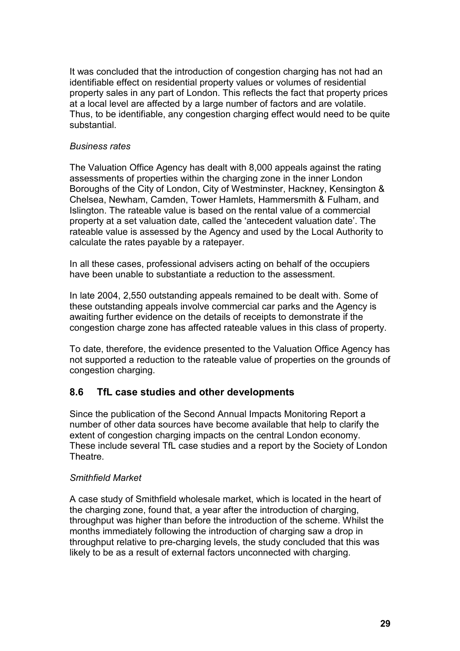It was concluded that the introduction of congestion charging has not had an identifiable effect on residential property values or volumes of residential property sales in any part of London. This reflects the fact that property prices at a local level are affected by a large number of factors and are volatile. Thus, to be identifiable, any congestion charging effect would need to be quite substantial.

### *Business rates*

The Valuation Office Agency has dealt with 8,000 appeals against the rating assessments of properties within the charging zone in the inner London Boroughs of the City of London, City of Westminster, Hackney, Kensington & Chelsea, Newham, Camden, Tower Hamlets, Hammersmith & Fulham, and Islington. The rateable value is based on the rental value of a commercial property at a set valuation date, called the 'antecedent valuation date'. The rateable value is assessed by the Agency and used by the Local Authority to calculate the rates payable by a ratepayer.

In all these cases, professional advisers acting on behalf of the occupiers have been unable to substantiate a reduction to the assessment.

In late 2004, 2,550 outstanding appeals remained to be dealt with. Some of these outstanding appeals involve commercial car parks and the Agency is awaiting further evidence on the details of receipts to demonstrate if the congestion charge zone has affected rateable values in this class of property.

To date, therefore, the evidence presented to the Valuation Office Agency has not supported a reduction to the rateable value of properties on the grounds of congestion charging.

# **8.6 TfL case studies and other developments**

Since the publication of the Second Annual Impacts Monitoring Report a number of other data sources have become available that help to clarify the extent of congestion charging impacts on the central London economy. These include several TfL case studies and a report by the Society of London **Theatre** 

### *Smithfield Market*

A case study of Smithfield wholesale market, which is located in the heart of the charging zone, found that, a year after the introduction of charging, throughput was higher than before the introduction of the scheme. Whilst the months immediately following the introduction of charging saw a drop in throughput relative to pre-charging levels, the study concluded that this was likely to be as a result of external factors unconnected with charging.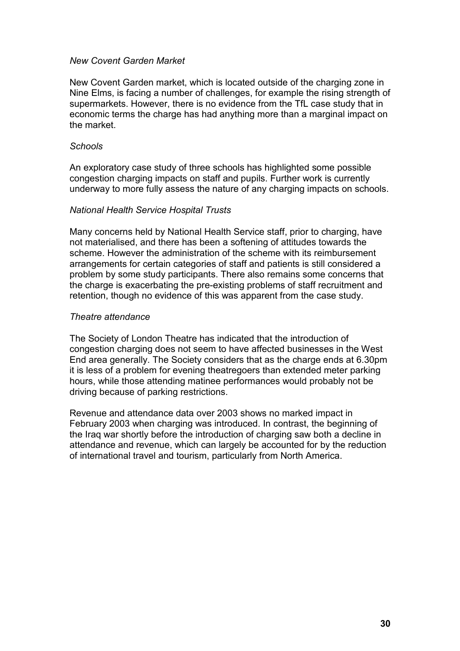### *New Covent Garden Market*

New Covent Garden market, which is located outside of the charging zone in Nine Elms, is facing a number of challenges, for example the rising strength of supermarkets. However, there is no evidence from the TfL case study that in economic terms the charge has had anything more than a marginal impact on the market.

### *Schools*

An exploratory case study of three schools has highlighted some possible congestion charging impacts on staff and pupils. Further work is currently underway to more fully assess the nature of any charging impacts on schools.

### *National Health Service Hospital Trusts*

Many concerns held by National Health Service staff, prior to charging, have not materialised, and there has been a softening of attitudes towards the scheme. However the administration of the scheme with its reimbursement arrangements for certain categories of staff and patients is still considered a problem by some study participants. There also remains some concerns that the charge is exacerbating the pre-existing problems of staff recruitment and retention, though no evidence of this was apparent from the case study.

### *Theatre attendance*

The Society of London Theatre has indicated that the introduction of congestion charging does not seem to have affected businesses in the West End area generally. The Society considers that as the charge ends at 6.30pm it is less of a problem for evening theatregoers than extended meter parking hours, while those attending matinee performances would probably not be driving because of parking restrictions.

Revenue and attendance data over 2003 shows no marked impact in February 2003 when charging was introduced. In contrast, the beginning of the Iraq war shortly before the introduction of charging saw both a decline in attendance and revenue, which can largely be accounted for by the reduction of international travel and tourism, particularly from North America.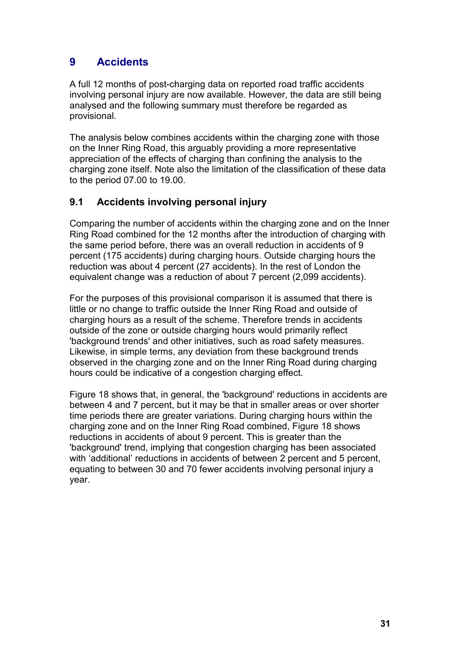# **9 Accidents**

A full 12 months of post-charging data on reported road traffic accidents involving personal injury are now available. However, the data are still being analysed and the following summary must therefore be regarded as provisional.

The analysis below combines accidents within the charging zone with those on the Inner Ring Road, this arguably providing a more representative appreciation of the effects of charging than confining the analysis to the charging zone itself. Note also the limitation of the classification of these data to the period 07.00 to 19.00.

# **9.1 Accidents involving personal injury**

Comparing the number of accidents within the charging zone and on the Inner Ring Road combined for the 12 months after the introduction of charging with the same period before, there was an overall reduction in accidents of 9 percent (175 accidents) during charging hours. Outside charging hours the reduction was about 4 percent (27 accidents). In the rest of London the equivalent change was a reduction of about 7 percent (2,099 accidents).

For the purposes of this provisional comparison it is assumed that there is little or no change to traffic outside the Inner Ring Road and outside of charging hours as a result of the scheme. Therefore trends in accidents outside of the zone or outside charging hours would primarily reflect 'background trends' and other initiatives, such as road safety measures. Likewise, in simple terms, any deviation from these background trends observed in the charging zone and on the Inner Ring Road during charging hours could be indicative of a congestion charging effect.

Figure 18 shows that, in general, the 'background' reductions in accidents are between 4 and 7 percent, but it may be that in smaller areas or over shorter time periods there are greater variations. During charging hours within the charging zone and on the Inner Ring Road combined, Figure 18 shows reductions in accidents of about 9 percent. This is greater than the 'background' trend, implying that congestion charging has been associated with 'additional' reductions in accidents of between 2 percent and 5 percent, equating to between 30 and 70 fewer accidents involving personal injury a year.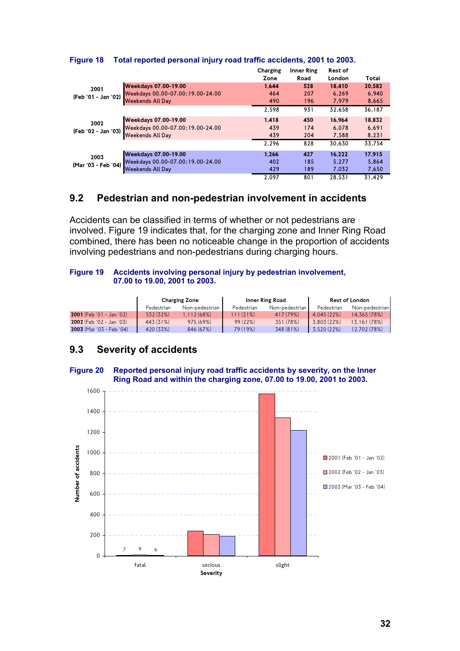|                     |                                   | Charging | <b>Inner Ring</b> | <b>Rest of</b> |        |
|---------------------|-----------------------------------|----------|-------------------|----------------|--------|
|                     |                                   | Zone     | Road              | London         | Total  |
| 2001                | <b>Weekdays 07.00-19.00</b>       | 1.644    | 528               | 18.410         | 20.582 |
| (Feb '01 - Jan '02) | Weekdays 00.00-07.00; 19.00-24.00 | 464      | 207               | 6.269          | 6.940  |
|                     | <b>Weekends All Day</b>           | 490      | 196               | 7.979          | 8,665  |
|                     |                                   | 2.598    | 931               | 32.658         | 36.187 |
| 2002                | <b>Weekdays 07.00-19.00</b>       | 1.418    | 450               | 16.964         | 18,832 |
| (Feb '02 - Jan '03) | Weekdays 00.00-07.00; 19.00-24.00 | 439      | 174               | 6.078          | 6.691  |
|                     | <b>Weekends All Day</b>           | 439      | 204               | 7,588          | 8,231  |
|                     |                                   | 2.296    | 828               | 30.630         | 33.754 |
| 2003                | <b>Weekdays 07.00-19.00</b>       | 1.266    | 427               | 16.222         | 17.915 |
| (Mar '03 - Feb '04) | Weekdays 00.00-07.00; 19.00-24.00 | 402      | 185               | 5.277          | 5.864  |
|                     | <b>Weekends All Day</b>           | 429      | 189               | 7.032          | 7,650  |
|                     |                                   | 2.097    | 801               | 28.531         | 31.429 |

### **Figure 18 Total reported personal injury road traffic accidents, 2001 to 2003.**

### **9.2 Pedestrian and non-pedestrian involvement in accidents**

Accidents can be classified in terms of whether or not pedestrians are involved. Figure 19 indicates that, for the charging zone and Inner Ring Road combined, there has been no noticeable change in the proportion of accidents involving pedestrians and non-pedestrians during charging hours.

#### **Figure 19 Accidents involving personal injury by pedestrian involvement, 07.00 to 19.00, 2001 to 2003.**

|                              | <b>Charging Zone</b> |            |                | Inner Ring Road | <b>Rest of London</b> |              |
|------------------------------|----------------------|------------|----------------|-----------------|-----------------------|--------------|
| Non-pedestrian<br>Pedestrian |                      | Pedestrian | Non-pedestrian | Pedestrian      | Non-pedestrian        |              |
| $2001$ (Feb '01 - Jan '02)   | 532 (32%)            | 1.112(68%) | 111 (21%)      | 417 (79%)       | 4.045 (22%)           | 14.365 (78%) |
| 2002 (Feb '02 - Jan '03)     | 443 (31%)            | 975 (69%)  | 99(22%)        | 351 (78%)       | 3.803 (22%)           | 13.161 (78%) |
| 2003 (Mar '03 - Feb '04)     | 420 (33%)            | 846 (67%)  | 79 (19%)       | 348 (81%)       | 3.520 (22%)           | 12,702 (78%) |

# **9.3 Severity of accidents**

#### **Figure 20 Reported personal injury road traffic accidents by severity, on the Inner Ring Road and within the charging zone, 07.00 to 19.00, 2001 to 2003.**

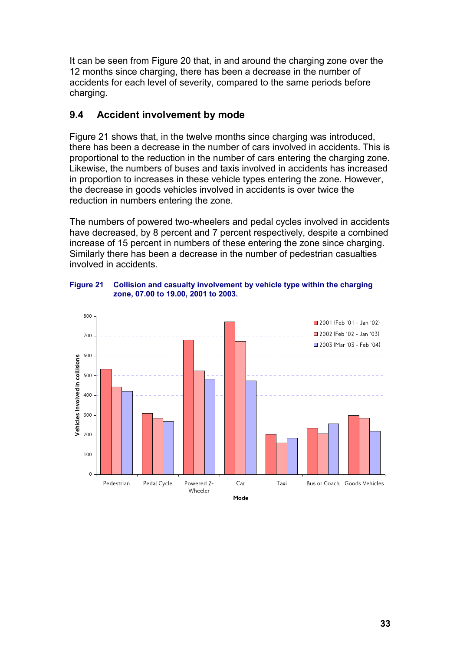It can be seen from Figure 20 that, in and around the charging zone over the 12 months since charging, there has been a decrease in the number of accidents for each level of severity, compared to the same periods before charging.

# **9.4 Accident involvement by mode**

Figure 21 shows that, in the twelve months since charging was introduced, there has been a decrease in the number of cars involved in accidents. This is proportional to the reduction in the number of cars entering the charging zone. Likewise, the numbers of buses and taxis involved in accidents has increased in proportion to increases in these vehicle types entering the zone. However, the decrease in goods vehicles involved in accidents is over twice the reduction in numbers entering the zone.

The numbers of powered two-wheelers and pedal cycles involved in accidents have decreased, by 8 percent and 7 percent respectively, despite a combined increase of 15 percent in numbers of these entering the zone since charging. Similarly there has been a decrease in the number of pedestrian casualties involved in accidents.



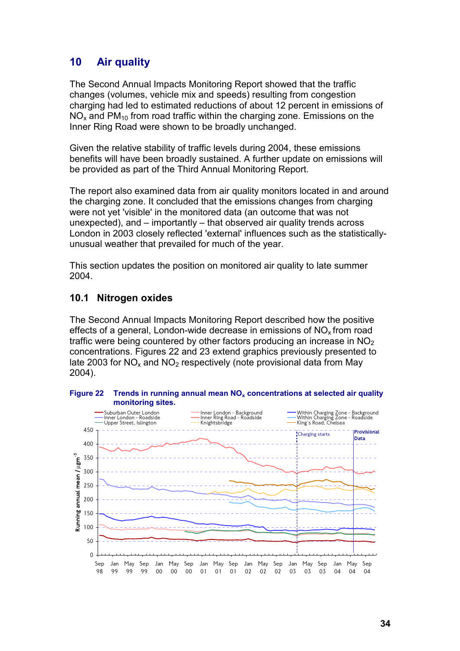# **10 Air quality**

The Second Annual Impacts Monitoring Report showed that the traffic changes (volumes, vehicle mix and speeds) resulting from congestion charging had led to estimated reductions of about 12 percent in emissions of  $NO<sub>x</sub>$  and PM<sub>10</sub> from road traffic within the charging zone. Emissions on the Inner Ring Road were shown to be broadly unchanged.

Given the relative stability of traffic levels during 2004, these emissions benefits will have been broadly sustained. A further update on emissions will be provided as part of the Third Annual Monitoring Report.

The report also examined data from air quality monitors located in and around the charging zone. It concluded that the emissions changes from charging were not yet 'visible' in the monitored data (an outcome that was not unexpected), and – importantly – that observed air quality trends across London in 2003 closely reflected 'external' influences such as the statisticallyunusual weather that prevailed for much of the year.

This section updates the position on monitored air quality to late summer 2004.

## **10.1 Nitrogen oxides**

The Second Annual Impacts Monitoring Report described how the positive effects of a general, London-wide decrease in emissions of  $NO<sub>x</sub>$  from road traffic were being countered by other factors producing an increase in  $NO<sub>2</sub>$ concentrations. Figures 22 and 23 extend graphics previously presented to late 2003 for  $NO<sub>x</sub>$  and  $NO<sub>2</sub>$  respectively (note provisional data from May 2004).



#### Figure 22 Trends in running annual mean NO<sub>x</sub> concentrations at selected air quality **monitoring sites.**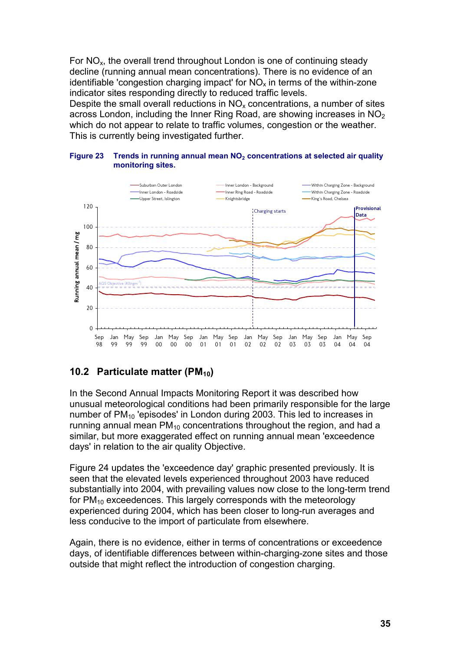For  $NO<sub>x</sub>$ , the overall trend throughout London is one of continuing steady decline (running annual mean concentrations). There is no evidence of an identifiable 'congestion charging impact' for  $NO<sub>x</sub>$  in terms of the within-zone indicator sites responding directly to reduced traffic levels. Despite the small overall reductions in  $NO<sub>x</sub>$  concentrations, a number of sites across London, including the Inner Ring Road, are showing increases in  $NO<sub>2</sub>$ which do not appear to relate to traffic volumes, congestion or the weather. This is currently being investigated further.



#### **Figure 23 Trends in running annual mean NO<sub>2</sub> concentrations at selected air quality monitoring sites.**

# **10.2 Particulate matter (PM<sub>10</sub>)**

In the Second Annual Impacts Monitoring Report it was described how unusual meteorological conditions had been primarily responsible for the large number of PM<sub>10</sub> 'episodes' in London during 2003. This led to increases in running annual mean  $PM_{10}$  concentrations throughout the region, and had a similar, but more exaggerated effect on running annual mean 'exceedence days' in relation to the air quality Objective.

Figure 24 updates the 'exceedence day' graphic presented previously. It is seen that the elevated levels experienced throughout 2003 have reduced substantially into 2004, with prevailing values now close to the long-term trend for  $PM_{10}$  exceedences. This largely corresponds with the meteorology experienced during 2004, which has been closer to long-run averages and less conducive to the import of particulate from elsewhere.

Again, there is no evidence, either in terms of concentrations or exceedence days, of identifiable differences between within-charging-zone sites and those outside that might reflect the introduction of congestion charging.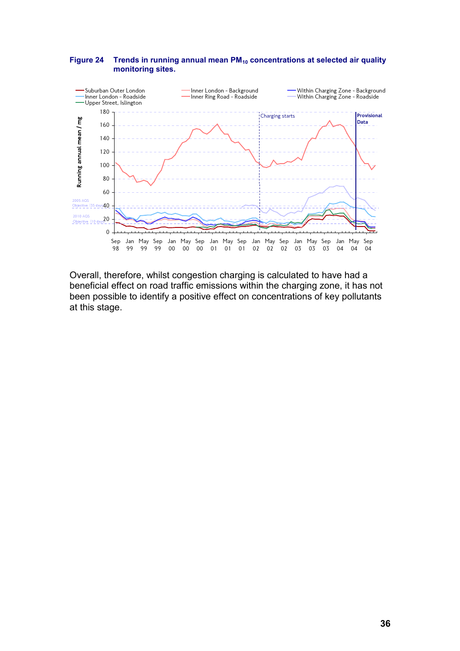#### Figure 24 Trends in running annual mean PM<sub>10</sub> concentrations at selected air quality **monitoring sites.**



Overall, therefore, whilst congestion charging is calculated to have had a beneficial effect on road traffic emissions within the charging zone, it has not been possible to identify a positive effect on concentrations of key pollutants at this stage.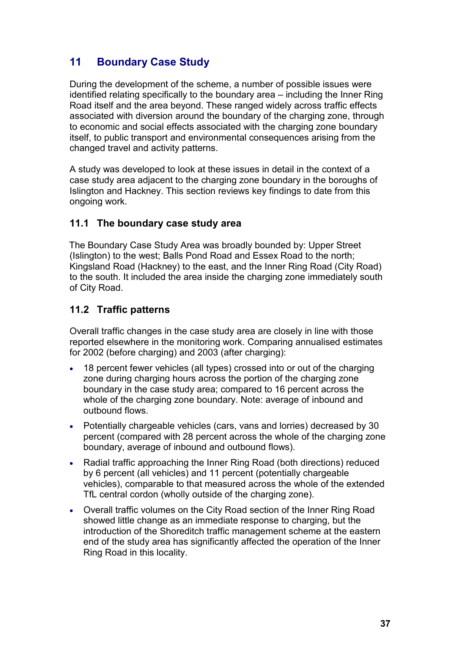# **11 Boundary Case Study**

During the development of the scheme, a number of possible issues were identified relating specifically to the boundary area – including the Inner Ring Road itself and the area beyond. These ranged widely across traffic effects associated with diversion around the boundary of the charging zone, through to economic and social effects associated with the charging zone boundary itself, to public transport and environmental consequences arising from the changed travel and activity patterns.

A study was developed to look at these issues in detail in the context of a case study area adjacent to the charging zone boundary in the boroughs of Islington and Hackney. This section reviews key findings to date from this ongoing work.

# **11.1 The boundary case study area**

The Boundary Case Study Area was broadly bounded by: Upper Street (Islington) to the west; Balls Pond Road and Essex Road to the north; Kingsland Road (Hackney) to the east, and the Inner Ring Road (City Road) to the south. It included the area inside the charging zone immediately south of City Road.

# **11.2 Traffic patterns**

Overall traffic changes in the case study area are closely in line with those reported elsewhere in the monitoring work. Comparing annualised estimates for 2002 (before charging) and 2003 (after charging):

- 18 percent fewer vehicles (all types) crossed into or out of the charging zone during charging hours across the portion of the charging zone boundary in the case study area; compared to 16 percent across the whole of the charging zone boundary. Note: average of inbound and outbound flows.
- Potentially chargeable vehicles (cars, vans and lorries) decreased by 30 percent (compared with 28 percent across the whole of the charging zone boundary, average of inbound and outbound flows).
- Radial traffic approaching the Inner Ring Road (both directions) reduced by 6 percent (all vehicles) and 11 percent (potentially chargeable vehicles), comparable to that measured across the whole of the extended TfL central cordon (wholly outside of the charging zone).
- Overall traffic volumes on the City Road section of the Inner Ring Road showed little change as an immediate response to charging, but the introduction of the Shoreditch traffic management scheme at the eastern end of the study area has significantly affected the operation of the Inner Ring Road in this locality.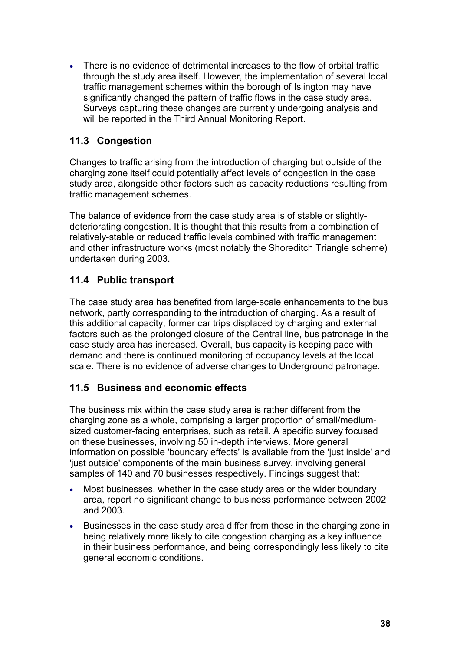There is no evidence of detrimental increases to the flow of orbital traffic through the study area itself. However, the implementation of several local traffic management schemes within the borough of Islington may have significantly changed the pattern of traffic flows in the case study area. Surveys capturing these changes are currently undergoing analysis and will be reported in the Third Annual Monitoring Report.

# **11.3 Congestion**

Changes to traffic arising from the introduction of charging but outside of the charging zone itself could potentially affect levels of congestion in the case study area, alongside other factors such as capacity reductions resulting from traffic management schemes.

The balance of evidence from the case study area is of stable or slightlydeteriorating congestion. It is thought that this results from a combination of relatively-stable or reduced traffic levels combined with traffic management and other infrastructure works (most notably the Shoreditch Triangle scheme) undertaken during 2003.

# **11.4 Public transport**

The case study area has benefited from large-scale enhancements to the bus network, partly corresponding to the introduction of charging. As a result of this additional capacity, former car trips displaced by charging and external factors such as the prolonged closure of the Central line, bus patronage in the case study area has increased. Overall, bus capacity is keeping pace with demand and there is continued monitoring of occupancy levels at the local scale. There is no evidence of adverse changes to Underground patronage.

# **11.5 Business and economic effects**

The business mix within the case study area is rather different from the charging zone as a whole, comprising a larger proportion of small/mediumsized customer-facing enterprises, such as retail. A specific survey focused on these businesses, involving 50 in-depth interviews. More general information on possible 'boundary effects' is available from the 'just inside' and 'just outside' components of the main business survey, involving general samples of 140 and 70 businesses respectively. Findings suggest that:

- Most businesses, whether in the case study area or the wider boundary area, report no significant change to business performance between 2002 and 2003.
- Businesses in the case study area differ from those in the charging zone in being relatively more likely to cite congestion charging as a key influence in their business performance, and being correspondingly less likely to cite general economic conditions.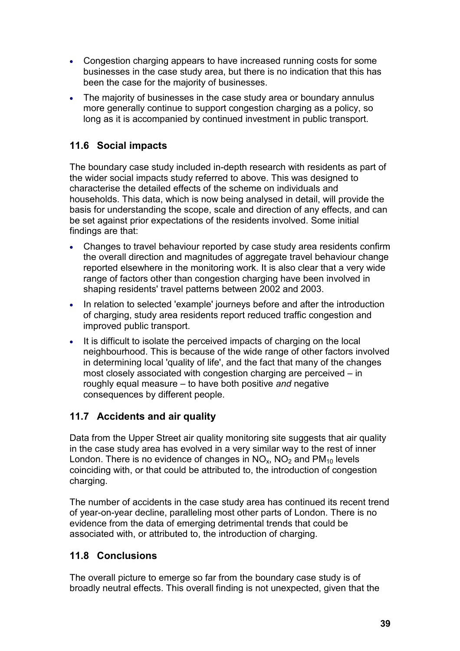- Congestion charging appears to have increased running costs for some businesses in the case study area, but there is no indication that this has been the case for the majority of businesses.
- The majority of businesses in the case study area or boundary annulus more generally continue to support congestion charging as a policy, so long as it is accompanied by continued investment in public transport.

# **11.6 Social impacts**

The boundary case study included in-depth research with residents as part of the wider social impacts study referred to above. This was designed to characterise the detailed effects of the scheme on individuals and households. This data, which is now being analysed in detail, will provide the basis for understanding the scope, scale and direction of any effects, and can be set against prior expectations of the residents involved. Some initial findings are that:

- Changes to travel behaviour reported by case study area residents confirm the overall direction and magnitudes of aggregate travel behaviour change reported elsewhere in the monitoring work. It is also clear that a very wide range of factors other than congestion charging have been involved in shaping residents' travel patterns between 2002 and 2003.
- In relation to selected 'example' journeys before and after the introduction of charging, study area residents report reduced traffic congestion and improved public transport.
- It is difficult to isolate the perceived impacts of charging on the local neighbourhood. This is because of the wide range of other factors involved in determining local 'quality of life', and the fact that many of the changes most closely associated with congestion charging are perceived – in roughly equal measure – to have both positive *and* negative consequences by different people.

# **11.7 Accidents and air quality**

Data from the Upper Street air quality monitoring site suggests that air quality in the case study area has evolved in a very similar way to the rest of inner London. There is no evidence of changes in  $NO_x$ ,  $NO_2$  and  $PM_{10}$  levels coinciding with, or that could be attributed to, the introduction of congestion charging.

The number of accidents in the case study area has continued its recent trend of year-on-year decline, paralleling most other parts of London. There is no evidence from the data of emerging detrimental trends that could be associated with, or attributed to, the introduction of charging.

# **11.8 Conclusions**

The overall picture to emerge so far from the boundary case study is of broadly neutral effects. This overall finding is not unexpected, given that the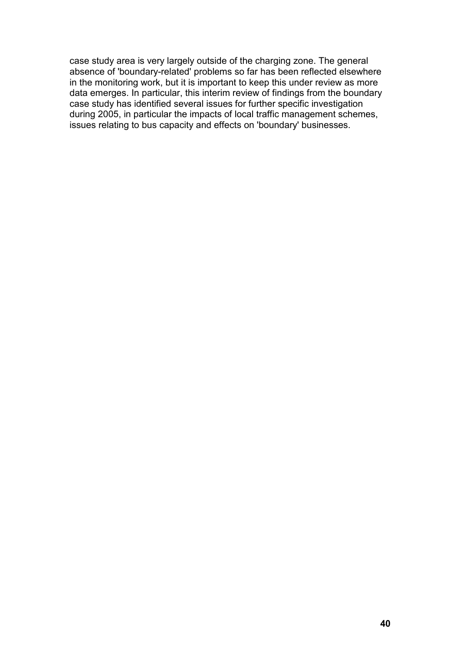case study area is very largely outside of the charging zone. The general absence of 'boundary-related' problems so far has been reflected elsewhere in the monitoring work, but it is important to keep this under review as more data emerges. In particular, this interim review of findings from the boundary case study has identified several issues for further specific investigation during 2005, in particular the impacts of local traffic management schemes, issues relating to bus capacity and effects on 'boundary' businesses.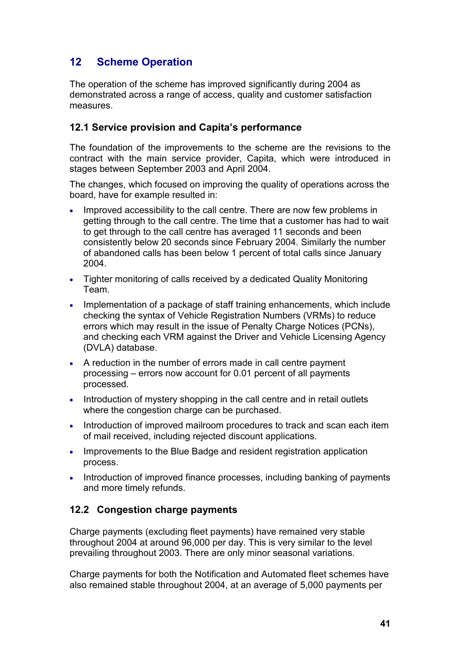# **12 Scheme Operation**

The operation of the scheme has improved significantly during 2004 as demonstrated across a range of access, quality and customer satisfaction measures.

## **12.1 Service provision and Capita's performance**

The foundation of the improvements to the scheme are the revisions to the contract with the main service provider, Capita, which were introduced in stages between September 2003 and April 2004.

The changes, which focused on improving the quality of operations across the board, have for example resulted in:

- Improved accessibility to the call centre. There are now few problems in getting through to the call centre. The time that a customer has had to wait to get through to the call centre has averaged 11 seconds and been consistently below 20 seconds since February 2004. Similarly the number of abandoned calls has been below 1 percent of total calls since January 2004.
- Tighter monitoring of calls received by a dedicated Quality Monitoring Team.
- Implementation of a package of staff training enhancements, which include checking the syntax of Vehicle Registration Numbers (VRMs) to reduce errors which may result in the issue of Penalty Charge Notices (PCNs), and checking each VRM against the Driver and Vehicle Licensing Agency (DVLA) database.
- A reduction in the number of errors made in call centre payment processing – errors now account for 0.01 percent of all payments processed.
- Introduction of mystery shopping in the call centre and in retail outlets where the congestion charge can be purchased.
- Introduction of improved mailroom procedures to track and scan each item of mail received, including rejected discount applications.
- Improvements to the Blue Badge and resident registration application process.
- Introduction of improved finance processes, including banking of payments and more timely refunds.

# **12.2 Congestion charge payments**

Charge payments (excluding fleet payments) have remained very stable throughout 2004 at around 96,000 per day. This is very similar to the level prevailing throughout 2003. There are only minor seasonal variations.

Charge payments for both the Notification and Automated fleet schemes have also remained stable throughout 2004, at an average of 5,000 payments per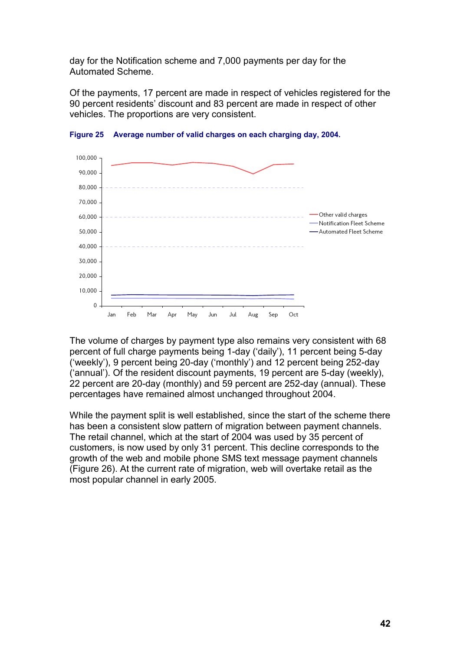day for the Notification scheme and 7,000 payments per day for the Automated Scheme.

Of the payments, 17 percent are made in respect of vehicles registered for the 90 percent residents' discount and 83 percent are made in respect of other vehicles. The proportions are very consistent.



**Figure 25 Average number of valid charges on each charging day, 2004.**

The volume of charges by payment type also remains very consistent with 68 percent of full charge payments being 1-day ('daily'), 11 percent being 5-day ('weekly'), 9 percent being 20-day ('monthly') and 12 percent being 252-day ('annual'). Of the resident discount payments, 19 percent are 5-day (weekly), 22 percent are 20-day (monthly) and 59 percent are 252-day (annual). These percentages have remained almost unchanged throughout 2004.

While the payment split is well established, since the start of the scheme there has been a consistent slow pattern of migration between payment channels. The retail channel, which at the start of 2004 was used by 35 percent of customers, is now used by only 31 percent. This decline corresponds to the growth of the web and mobile phone SMS text message payment channels (Figure 26). At the current rate of migration, web will overtake retail as the most popular channel in early 2005.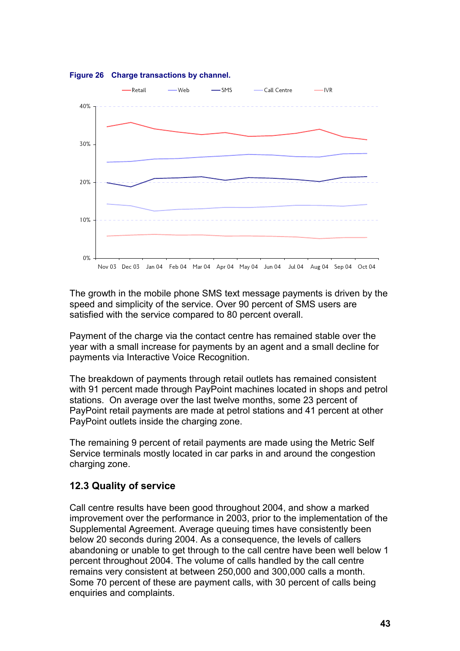

#### **Figure 26 Charge transactions by channel.**

The growth in the mobile phone SMS text message payments is driven by the speed and simplicity of the service. Over 90 percent of SMS users are satisfied with the service compared to 80 percent overall.

Payment of the charge via the contact centre has remained stable over the year with a small increase for payments by an agent and a small decline for payments via Interactive Voice Recognition.

The breakdown of payments through retail outlets has remained consistent with 91 percent made through PayPoint machines located in shops and petrol stations. On average over the last twelve months, some 23 percent of PayPoint retail payments are made at petrol stations and 41 percent at other PayPoint outlets inside the charging zone.

The remaining 9 percent of retail payments are made using the Metric Self Service terminals mostly located in car parks in and around the congestion charging zone.

### **12.3 Quality of service**

Call centre results have been good throughout 2004, and show a marked improvement over the performance in 2003, prior to the implementation of the Supplemental Agreement. Average queuing times have consistently been below 20 seconds during 2004. As a consequence, the levels of callers abandoning or unable to get through to the call centre have been well below 1 percent throughout 2004. The volume of calls handled by the call centre remains very consistent at between 250,000 and 300,000 calls a month. Some 70 percent of these are payment calls, with 30 percent of calls being enquiries and complaints.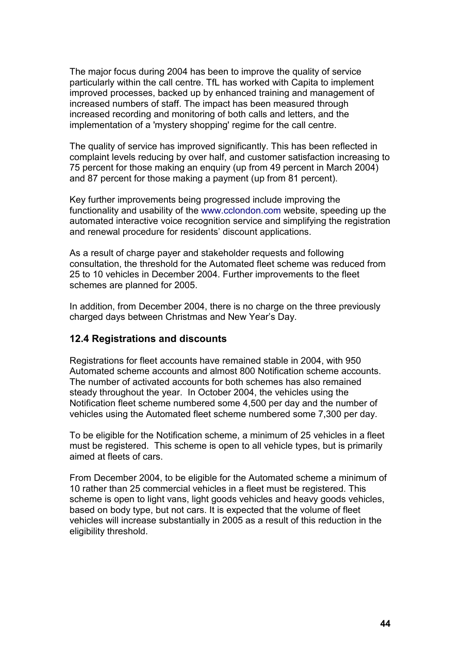The major focus during 2004 has been to improve the quality of service particularly within the call centre. TfL has worked with Capita to implement improved processes, backed up by enhanced training and management of increased numbers of staff. The impact has been measured through increased recording and monitoring of both calls and letters, and the implementation of a 'mystery shopping' regime for the call centre.

The quality of service has improved significantly. This has been reflected in complaint levels reducing by over half, and customer satisfaction increasing to 75 percent for those making an enquiry (up from 49 percent in March 2004) and 87 percent for those making a payment (up from 81 percent).

Key further improvements being progressed include improving the functionality and usability of the www.cclondon.com website, speeding up the automated interactive voice recognition service and simplifying the registration and renewal procedure for residents' discount applications.

As a result of charge payer and stakeholder requests and following consultation, the threshold for the Automated fleet scheme was reduced from 25 to 10 vehicles in December 2004. Further improvements to the fleet schemes are planned for 2005.

In addition, from December 2004, there is no charge on the three previously charged days between Christmas and New Year's Day.

### **12.4 Registrations and discounts**

Registrations for fleet accounts have remained stable in 2004, with 950 Automated scheme accounts and almost 800 Notification scheme accounts. The number of activated accounts for both schemes has also remained steady throughout the year. In October 2004, the vehicles using the Notification fleet scheme numbered some 4,500 per day and the number of vehicles using the Automated fleet scheme numbered some 7,300 per day.

To be eligible for the Notification scheme, a minimum of 25 vehicles in a fleet must be registered. This scheme is open to all vehicle types, but is primarily aimed at fleets of cars.

From December 2004, to be eligible for the Automated scheme a minimum of 10 rather than 25 commercial vehicles in a fleet must be registered. This scheme is open to light vans, light goods vehicles and heavy goods vehicles, based on body type, but not cars. It is expected that the volume of fleet vehicles will increase substantially in 2005 as a result of this reduction in the eligibility threshold.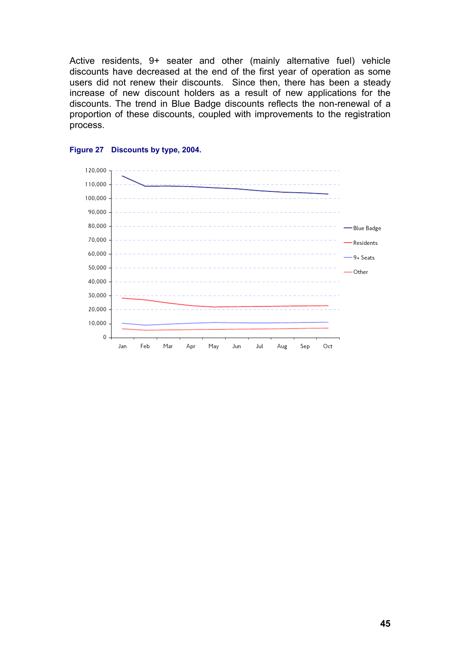Active residents, 9+ seater and other (mainly alternative fuel) vehicle discounts have decreased at the end of the first year of operation as some users did not renew their discounts. Since then, there has been a steady increase of new discount holders as a result of new applications for the discounts. The trend in Blue Badge discounts reflects the non-renewal of a proportion of these discounts, coupled with improvements to the registration process.



#### **Figure 27 Discounts by type, 2004.**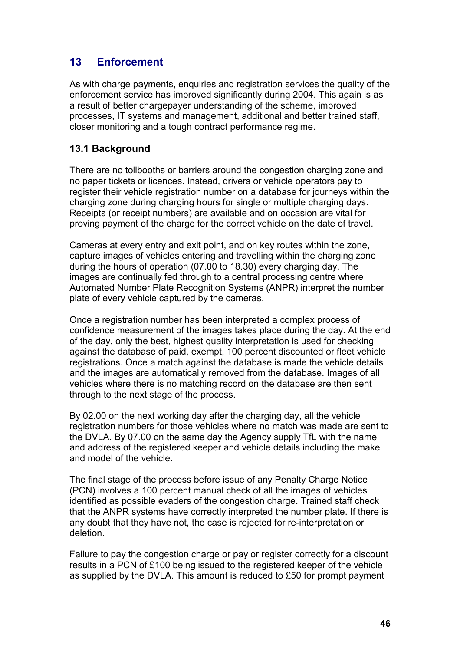# **13 Enforcement**

As with charge payments, enquiries and registration services the quality of the enforcement service has improved significantly during 2004. This again is as a result of better chargepayer understanding of the scheme, improved processes, IT systems and management, additional and better trained staff, closer monitoring and a tough contract performance regime.

## **13.1 Background**

There are no tollbooths or barriers around the congestion charging zone and no paper tickets or licences. Instead, drivers or vehicle operators pay to register their vehicle registration number on a database for journeys within the charging zone during charging hours for single or multiple charging days. Receipts (or receipt numbers) are available and on occasion are vital for proving payment of the charge for the correct vehicle on the date of travel.

Cameras at every entry and exit point, and on key routes within the zone, capture images of vehicles entering and travelling within the charging zone during the hours of operation (07.00 to 18.30) every charging day. The images are continually fed through to a central processing centre where Automated Number Plate Recognition Systems (ANPR) interpret the number plate of every vehicle captured by the cameras.

Once a registration number has been interpreted a complex process of confidence measurement of the images takes place during the day. At the end of the day, only the best, highest quality interpretation is used for checking against the database of paid, exempt, 100 percent discounted or fleet vehicle registrations. Once a match against the database is made the vehicle details and the images are automatically removed from the database. Images of all vehicles where there is no matching record on the database are then sent through to the next stage of the process.

By 02.00 on the next working day after the charging day, all the vehicle registration numbers for those vehicles where no match was made are sent to the DVLA. By 07.00 on the same day the Agency supply TfL with the name and address of the registered keeper and vehicle details including the make and model of the vehicle.

The final stage of the process before issue of any Penalty Charge Notice (PCN) involves a 100 percent manual check of all the images of vehicles identified as possible evaders of the congestion charge. Trained staff check that the ANPR systems have correctly interpreted the number plate. If there is any doubt that they have not, the case is rejected for re-interpretation or deletion.

Failure to pay the congestion charge or pay or register correctly for a discount results in a PCN of £100 being issued to the registered keeper of the vehicle as supplied by the DVLA. This amount is reduced to £50 for prompt payment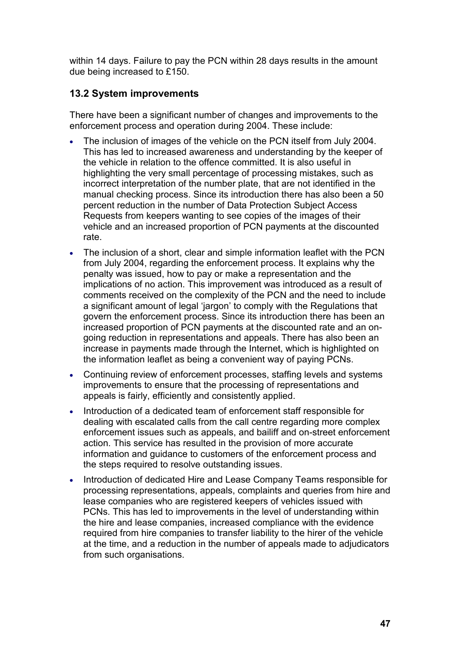within 14 days. Failure to pay the PCN within 28 days results in the amount due being increased to £150.

## **13.2 System improvements**

There have been a significant number of changes and improvements to the enforcement process and operation during 2004. These include:

- The inclusion of images of the vehicle on the PCN itself from July 2004. This has led to increased awareness and understanding by the keeper of the vehicle in relation to the offence committed. It is also useful in highlighting the very small percentage of processing mistakes, such as incorrect interpretation of the number plate, that are not identified in the manual checking process. Since its introduction there has also been a 50 percent reduction in the number of Data Protection Subject Access Requests from keepers wanting to see copies of the images of their vehicle and an increased proportion of PCN payments at the discounted rate.
- The inclusion of a short, clear and simple information leaflet with the PCN from July 2004, regarding the enforcement process. It explains why the penalty was issued, how to pay or make a representation and the implications of no action. This improvement was introduced as a result of comments received on the complexity of the PCN and the need to include a significant amount of legal 'jargon' to comply with the Regulations that govern the enforcement process. Since its introduction there has been an increased proportion of PCN payments at the discounted rate and an ongoing reduction in representations and appeals. There has also been an increase in payments made through the Internet, which is highlighted on the information leaflet as being a convenient way of paying PCNs.
- Continuing review of enforcement processes, staffing levels and systems improvements to ensure that the processing of representations and appeals is fairly, efficiently and consistently applied.
- Introduction of a dedicated team of enforcement staff responsible for dealing with escalated calls from the call centre regarding more complex enforcement issues such as appeals, and bailiff and on-street enforcement action. This service has resulted in the provision of more accurate information and guidance to customers of the enforcement process and the steps required to resolve outstanding issues.
- Introduction of dedicated Hire and Lease Company Teams responsible for processing representations, appeals, complaints and queries from hire and lease companies who are registered keepers of vehicles issued with PCNs. This has led to improvements in the level of understanding within the hire and lease companies, increased compliance with the evidence required from hire companies to transfer liability to the hirer of the vehicle at the time, and a reduction in the number of appeals made to adjudicators from such organisations.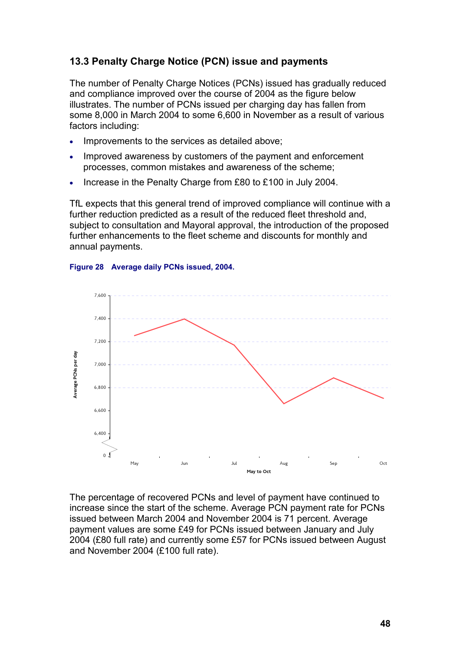# **13.3 Penalty Charge Notice (PCN) issue and payments**

The number of Penalty Charge Notices (PCNs) issued has gradually reduced and compliance improved over the course of 2004 as the figure below illustrates. The number of PCNs issued per charging day has fallen from some 8,000 in March 2004 to some 6,600 in November as a result of various factors including:

- Improvements to the services as detailed above;
- Improved awareness by customers of the payment and enforcement processes, common mistakes and awareness of the scheme;
- Increase in the Penalty Charge from £80 to £100 in July 2004.

TfL expects that this general trend of improved compliance will continue with a further reduction predicted as a result of the reduced fleet threshold and, subject to consultation and Mayoral approval, the introduction of the proposed further enhancements to the fleet scheme and discounts for monthly and annual payments.

#### **Figure 28 Average daily PCNs issued, 2004.**



The percentage of recovered PCNs and level of payment have continued to increase since the start of the scheme. Average PCN payment rate for PCNs issued between March 2004 and November 2004 is 71 percent. Average payment values are some £49 for PCNs issued between January and July 2004 (£80 full rate) and currently some £57 for PCNs issued between August and November 2004 (£100 full rate).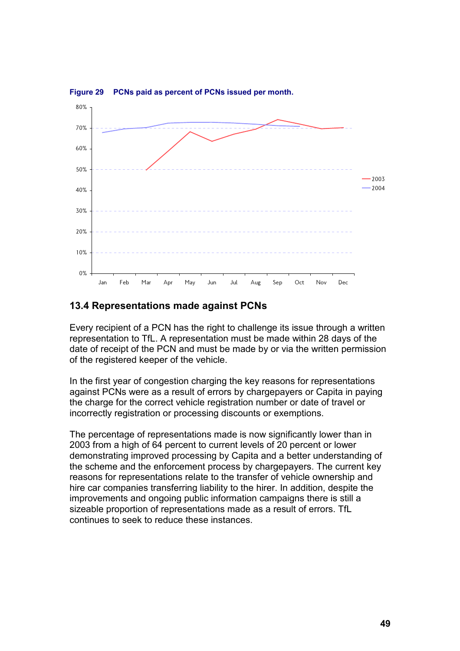

**Figure 29 PCNs paid as percent of PCNs issued per month.**

### **13.4 Representations made against PCNs**

Every recipient of a PCN has the right to challenge its issue through a written representation to TfL. A representation must be made within 28 days of the date of receipt of the PCN and must be made by or via the written permission of the registered keeper of the vehicle.

In the first year of congestion charging the key reasons for representations against PCNs were as a result of errors by chargepayers or Capita in paying the charge for the correct vehicle registration number or date of travel or incorrectly registration or processing discounts or exemptions.

The percentage of representations made is now significantly lower than in 2003 from a high of 64 percent to current levels of 20 percent or lower demonstrating improved processing by Capita and a better understanding of the scheme and the enforcement process by chargepayers. The current key reasons for representations relate to the transfer of vehicle ownership and hire car companies transferring liability to the hirer. In addition, despite the improvements and ongoing public information campaigns there is still a sizeable proportion of representations made as a result of errors. TfL continues to seek to reduce these instances.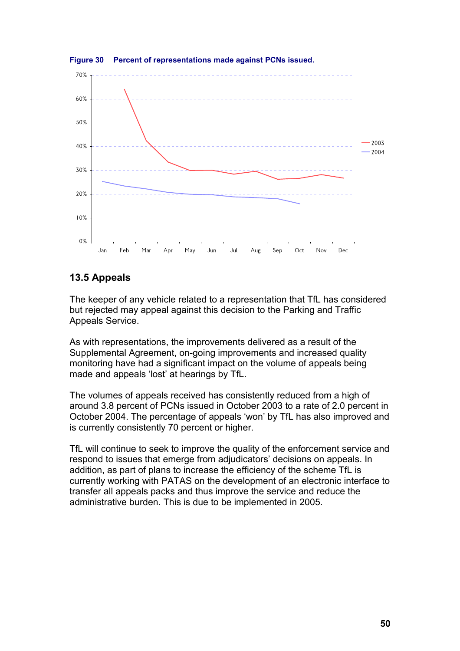

**Figure 30 Percent of representations made against PCNs issued.**

## **13.5 Appeals**

The keeper of any vehicle related to a representation that TfL has considered but rejected may appeal against this decision to the Parking and Traffic Appeals Service.

As with representations, the improvements delivered as a result of the Supplemental Agreement, on-going improvements and increased quality monitoring have had a significant impact on the volume of appeals being made and appeals 'lost' at hearings by TfL.

The volumes of appeals received has consistently reduced from a high of around 3.8 percent of PCNs issued in October 2003 to a rate of 2.0 percent in October 2004. The percentage of appeals 'won' by TfL has also improved and is currently consistently 70 percent or higher.

TfL will continue to seek to improve the quality of the enforcement service and respond to issues that emerge from adjudicators' decisions on appeals. In addition, as part of plans to increase the efficiency of the scheme TfL is currently working with PATAS on the development of an electronic interface to transfer all appeals packs and thus improve the service and reduce the administrative burden. This is due to be implemented in 2005.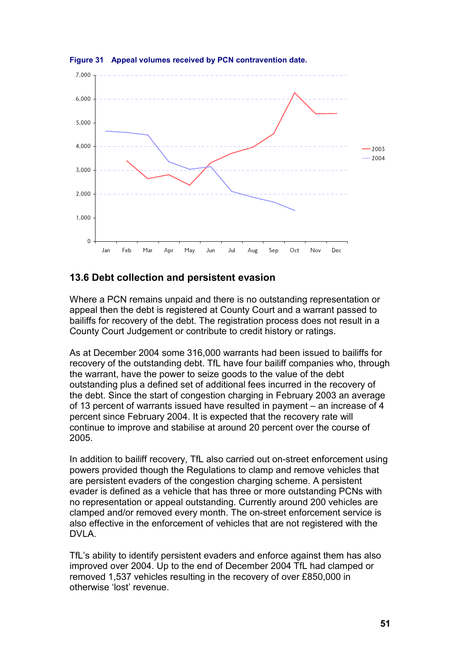

**Figure 31 Appeal volumes received by PCN contravention date.**

## **13.6 Debt collection and persistent evasion**

Where a PCN remains unpaid and there is no outstanding representation or appeal then the debt is registered at County Court and a warrant passed to bailiffs for recovery of the debt. The registration process does not result in a County Court Judgement or contribute to credit history or ratings.

As at December 2004 some 316,000 warrants had been issued to bailiffs for recovery of the outstanding debt. TfL have four bailiff companies who, through the warrant, have the power to seize goods to the value of the debt outstanding plus a defined set of additional fees incurred in the recovery of the debt. Since the start of congestion charging in February 2003 an average of 13 percent of warrants issued have resulted in payment – an increase of 4 percent since February 2004. It is expected that the recovery rate will continue to improve and stabilise at around 20 percent over the course of 2005.

In addition to bailiff recovery, TfL also carried out on-street enforcement using powers provided though the Regulations to clamp and remove vehicles that are persistent evaders of the congestion charging scheme. A persistent evader is defined as a vehicle that has three or more outstanding PCNs with no representation or appeal outstanding. Currently around 200 vehicles are clamped and/or removed every month. The on-street enforcement service is also effective in the enforcement of vehicles that are not registered with the DVLA.

TfL's ability to identify persistent evaders and enforce against them has also improved over 2004. Up to the end of December 2004 TfL had clamped or removed 1,537 vehicles resulting in the recovery of over £850,000 in otherwise 'lost' revenue.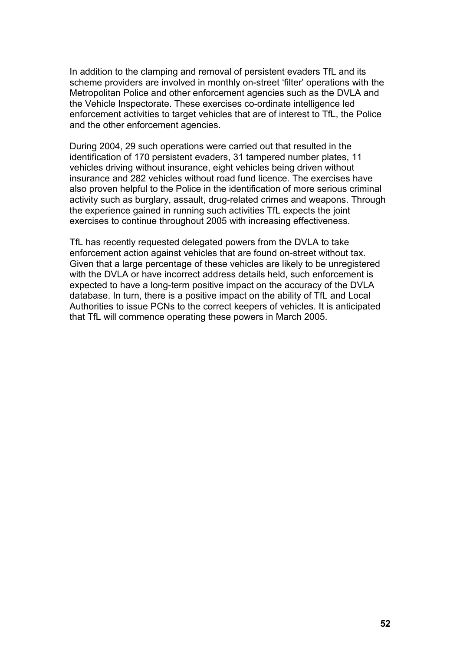In addition to the clamping and removal of persistent evaders TfL and its scheme providers are involved in monthly on-street 'filter' operations with the Metropolitan Police and other enforcement agencies such as the DVLA and the Vehicle Inspectorate. These exercises co-ordinate intelligence led enforcement activities to target vehicles that are of interest to TfL, the Police and the other enforcement agencies.

During 2004, 29 such operations were carried out that resulted in the identification of 170 persistent evaders, 31 tampered number plates, 11 vehicles driving without insurance, eight vehicles being driven without insurance and 282 vehicles without road fund licence. The exercises have also proven helpful to the Police in the identification of more serious criminal activity such as burglary, assault, drug-related crimes and weapons. Through the experience gained in running such activities TfL expects the joint exercises to continue throughout 2005 with increasing effectiveness.

TfL has recently requested delegated powers from the DVLA to take enforcement action against vehicles that are found on-street without tax. Given that a large percentage of these vehicles are likely to be unregistered with the DVLA or have incorrect address details held, such enforcement is expected to have a long-term positive impact on the accuracy of the DVLA database. In turn, there is a positive impact on the ability of TfL and Local Authorities to issue PCNs to the correct keepers of vehicles. It is anticipated that TfL will commence operating these powers in March 2005.